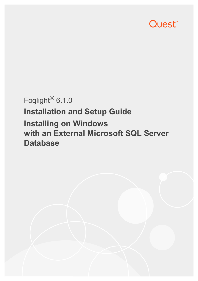# Quest<sup>®</sup>

# Foglight® 6.1.0 **Installation and Setup Guide Installing on Windows with an External Microsoft SQL Server Database**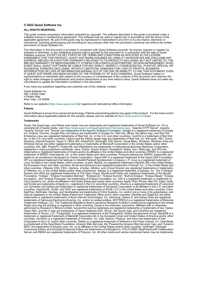#### **© 2022 Quest Software Inc.**

#### **ALL RIGHTS RESERVED.**

This guide contains proprietary information protected by copyright. The software described in this guide is furnished under a software license or nondisclosure agreement. This software may be used or copied only in accordance with the terms of the applicable agreement. No part of this guide may be reproduced or transmitted in any form or by any means, electronic or mechanical, including photocopying and recording for any purpose other than the purchaser's personal use without the written permission of Quest Software Inc.

The information in this document is provided in connection with Quest Software products. No license, express or implied, by estoppel or otherwise, to any intellectual property right is granted by this document or in connection with the sale of Quest<br>Software products. EXCEPT AS SET FORTH IN THE TERMS AND CONDITIONS AS SPECIFIED IN THE LICENSE<br>A EXPRESS, IMPLIED OR STATUTORY WARRANTY RELATING TO ITS PRODUCTS INCLUDING, BUT NOT LIMITED TO, THE IMPLIED WARRANTY OF MERCHANTABILITY, FITNESS FOR A PARTICULAR PURPOSE, OR NON-INFRINGEMENT. IN NO EVENT SHALL QUEST SOFTWARE BE LIABLE FOR ANY DIRECT, INDIRECT, CONSEQUENTIAL, PUNITIVE, SPECIAL OR INCIDENTAL DAMAGES (INCLUDING, WITHOUT LIMITATION, DAMAGES FOR LOSS OF PROFITS, BUSINESS<br>INTERRUPTION OR LOSS OF INFORMATION) ARISING OUT OF THE USE OR INABILITY TO USE THIS DOCUMENT, EVEN IF QUEST SOFTWARE HAS BEEN ADVISED OF THE POSSIBILITY OF SUCH DAMAGES. Quest Software makes no representations or warranties with respect to the accuracy or completeness of the contents of this document and reserves the right to make changes to specifications and product descriptions at any time without notice. Quest Software does not make any commitment to update the information contained in this document.

If you have any questions regarding your potential use of this material, contact:

Quest Software Inc. Attn: LEGAL Dept. 4 Polaris Way Aliso Viejo, CA 92656

Refer to our website [\(https://www.quest.com](https://www.quest.com)) for regional and international office information.

#### **Patents**

Quest Software is proud of our advanced technology. Patents and pending patents may apply to this product. For the most current information about applicable patents for this product, please visit our website at [https://www.quest.com/legal.](https://www.quest.com/legal)

#### **Trademarks**

Quest, the Quest logo, and Where next meets now are trademarks and registered trademarks of Quest Software Inc. For a complete list of Quest marks, visit [https://www.quest.com/legal/trademark-information.aspx.](https://www.quest.com/legal/trademark-information.aspx) "Apache HTTP Server", Apache,<br>"Apache Tomcat" and "Tomcat" are trademarks of the Apache Software Foundation. Google is a registere Inc. Android, Chrome, Google Play, and Nexus are trademarks of Google Inc. Red Hat, JBoss, the JBoss logo, and Red Hat Enterprise Linux are registered trademarks of Red Hat, Inc. in the U.S. and other countries. CentOS is a trademark of Red Hat, Inc. in the U.S. and other countries. Fedora and the Infinity design logo are trademarks of Red Hat, Inc. Microsoft, .NET, Active Directory, Internet Explorer, Hyper-V, Office 365, SharePoint, Silverlight, SQL Server, Visual Basic, Windows, Windows Vista and Windows Server are either registered trademarks or trademarks of Microsoft Corporation in the United States and/or other<br>countries. AIX, IBM, PowerPC, PowerVM, and WebSphere are trademarks of International Business Machine registered in many jurisdictions worldwide. Java, Oracle, Oracle Solaris, PeopleSoft, Siebel, Sun, WebLogic, and ZFS are trademarks or registered trademarks of Oracle and/or its affiliates in the United States and other countries. SPARC is a registered<br>trademark of SPARC International, Inc. in the United States and other countries. Products based on an architecture developed by Oracle Corporation. OpenLDAP is a registered trademark of the OpenLDAP Foundation. HP is a registered trademark that belongs to Hewlett-Packard Development Company, L.P. Linux is a registered trademark of Linus Torvalds in the United States, other countries, or both. MySQL is a registered trademark of MySQL AB in the United States, the European Union and other countries. Novell and eDirectory are registered trademarks of Novell, Inc., in the United States and other countries. VMware, ESX, ESXi, vSphere, vCenter, vMotion, and vCloud Director are registered trademarks or trademarks<br>of VMware, Inc. in the United States and/or other jurisdictions. Sybase is a registered trademark o Foundation. "Eclipse", "Eclipse Foundation Member", "EclipseCon", "Eclipse Summit", "Built on Eclipse", "Eclipse Ready" "Eclipse<br>Incubation", and "Eclipse Proposals" are trademarks of Eclipse Foundation, Inc. IOS is a regi Cisco Systems, Inc. and/or its affiliates in the United States and certain other countries. Apple, iPad, iPhone, Mac OS, Safari, Swift, and Xcode are trademarks of Apple Inc., registered in the U.S. and other countries. Ubuntu is a registered trademark of Canonical<br>Ltd. Symantec and Veritas are trademarks or registered trademarks of Symantec Corporation or AppFlow, NetScaler, XenApp, and XenDesktop are trademarks of Citrix Systems, Inc. and/or one or more of its subsidiaries, and may be registered in the United States Patent and Trademark Office and in other countries. AlertSite and DéjàClick are either trademarks or registered trademarks of Boca Internet Technologies, Inc. Samsung, Galaxy S, and Galaxy Note are registered trademarks of Samsung Electronics America, Inc. and/or its related entities. MOTOROLA is a registered trademarks of Motorola<br>Trademark Holdings, LLC. The Trademark BlackBerry Bold is owned by Research In Motion Limited and authorized by Research In Motion Limited. Ixia and the Ixia four-petal logo are registered trademarks or trademarks of Ixia. Opera,<br>Opera Mini, and the O logo are trademarks of Opera Software ASA. Tevron, the Tevron logo, trademarks of Tevron, LLC. PostgreSQL is a registered trademark of the PostgreSQL Global Development Group. MariaDB is a trademark or registered trademark of MariaDB Corporation Ab in the European Union and United States of America and/or other<br>countries. Vormetric is a registered trademark of Vormetric, Inc. Intel, Itanium, Pentium, and Xeo Corporation in the U.S. and/or other countries. Debian is a registered trademark of Software in the Public Interest, Inc. OpenStack is a trademark of the OpenStack Foundation. Amazon Web Services, the "Powered by Amazon Web Services" logo, and "Amazon<br>RDS" are trademarks of Amazon.com, Inc. or its affiliates in the United States and/or other countries Server, and RMX® are registered trademarks of Polycom, Inc. All other marks and names mentioned herein may be trademarks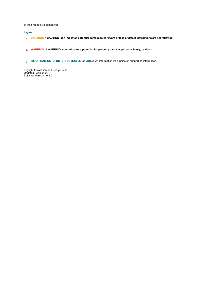of their respective companies.

### **Legend**

- **CAUTION: A CAUTION icon indicates potential damage to hardware or loss of data if instructions are not followed.**
- **WARNING: A WARNING icon indicates a potential for property damage, personal injury, or death.**  $\mathbf{r}$
- **IMPORTANT NOTE**, **NOTE**, **TIP**, **MOBILE**, or **VIDEO:** An information icon indicates supporting information.

Foglight Installation and Setup Guide Updated - April 2022 Software Version - 6.1.0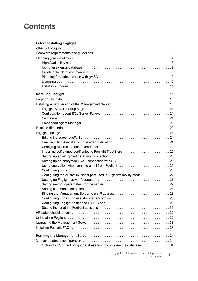# **Contents**

| Using an external database entitled and contain and container and statement of the statement of the statement o                                                                                                                |
|--------------------------------------------------------------------------------------------------------------------------------------------------------------------------------------------------------------------------------|
|                                                                                                                                                                                                                                |
|                                                                                                                                                                                                                                |
|                                                                                                                                                                                                                                |
|                                                                                                                                                                                                                                |
|                                                                                                                                                                                                                                |
|                                                                                                                                                                                                                                |
|                                                                                                                                                                                                                                |
| Foglight Server Startup page (and the content of the content of the content of the content of the content of t                                                                                                                 |
|                                                                                                                                                                                                                                |
|                                                                                                                                                                                                                                |
|                                                                                                                                                                                                                                |
|                                                                                                                                                                                                                                |
| Foglight settings expansion of the control of the control of the control of the control of the control of the control of the control of the control of the control of the control of the control of the control of the control |
|                                                                                                                                                                                                                                |
| Enabling High Availability mode after installation 24                                                                                                                                                                          |
|                                                                                                                                                                                                                                |
| Importing self-signed certificates to Foglight TrustStore 25                                                                                                                                                                   |
|                                                                                                                                                                                                                                |
|                                                                                                                                                                                                                                |
|                                                                                                                                                                                                                                |
|                                                                                                                                                                                                                                |
| Configuring the cluster multicast port used in High Availability mode 27                                                                                                                                                       |
|                                                                                                                                                                                                                                |
|                                                                                                                                                                                                                                |
|                                                                                                                                                                                                                                |
| Binding the Management Server to an IP address 28                                                                                                                                                                              |
|                                                                                                                                                                                                                                |
|                                                                                                                                                                                                                                |
|                                                                                                                                                                                                                                |
|                                                                                                                                                                                                                                |
| Uninstalling Foglight (and all contact and all contact and all contact and all contact and all contact and all                                                                                                                 |
| Upgrading the Management Server (and the content of the content of the Management Servers and States Upgrading                                                                                                                 |
|                                                                                                                                                                                                                                |
|                                                                                                                                                                                                                                |
|                                                                                                                                                                                                                                |
|                                                                                                                                                                                                                                |
| Option 1 - Run the Foglight database tool to configure the database 34                                                                                                                                                         |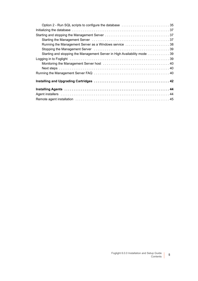| Option 2 - Run SQL scripts to configure the database 35                  |  |
|--------------------------------------------------------------------------|--|
|                                                                          |  |
|                                                                          |  |
|                                                                          |  |
| Running the Management Server as a Windows service 38                    |  |
|                                                                          |  |
| Starting and stopping the Management Server in High Availability mode 39 |  |
|                                                                          |  |
|                                                                          |  |
|                                                                          |  |
|                                                                          |  |
|                                                                          |  |
|                                                                          |  |
|                                                                          |  |
|                                                                          |  |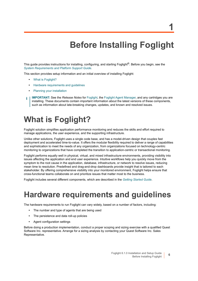**1**

# **Before Installing Foglight**

<span id="page-5-0"></span>This guide provides instructions for installing, configuring, and starting Foglight®. Before you begin, see the *[System Requirements and Platform Support Guide](http://documents.quest.com/foglight/5.9.8/system-requirements-and-platform-support-guide/)*.

This section provides setup information and an initial overview of installing Foglight:

- **•** [What is Foglight?](#page-5-1)
- **•** [Hardware requirements and guidelines](#page-5-2)
- **•** [Planning your installation](#page-6-0)
- **IMPORTANT:** See the *Release Notes* for [Foglight](http://documents.quest.com/foglight/5.9.8/release-notes/), the [Foglight Agent Manager,](https://support.quest.com/technical-documents/foglight-agent-manager/5.9.8/foglight-agent-manager-release-notes
) and any cartridges you are ÷ installing. These documents contain important information about the latest versions of these components, such as information about late-breaking changes, updates, and known and resolved issues.

# <span id="page-5-1"></span>**What is Foglight?**

Foglight solution simplifies application performance monitoring and reduces the skills and effort required to manage applications, the user experience, and the supporting infrastructure.

Unlike other solutions, Foglight uses a single code base, and has a model-driven design that couples fast deployment and accelerated time-to-value. It offers the modular flexibility required to deliver a range of capabilities and sophistication to meet the needs of any organization, from organizations focused on technology-centric monitoring to organizations that have completed the transition to application-centric or transactional monitoring.

Foglight performs equally well in physical, virtual, and mixed infrastructure environments, providing visibility into issues affecting the application and end user experience. Intuitive workflows help you quickly move from the symptom to the root cause in the application, database, infrastructure, or network to resolve issues, reducing mean time to resolution. Predefined and drag-and-drop dashboards provide insight that is tailored to each stakeholder. By offering comprehensive visibility into your monitored environment, Foglight helps ensure that cross-functional teams collaborate on and prioritize issues that matter most to the business.

Foglight includes several different components, which are described in the *[Getting Started Guide](http://documents.quest.com/foglight/5.9.8/getting-started-guide/)*.

# <span id="page-5-2"></span>**Hardware requirements and guidelines**

The hardware requirements to run Foglight can vary widely, based on a number of factors, including:

- **•** The number and type of agents that are being used
- **•** The persistence and data roll-up policies
- **•** Agent configuration settings

Before doing a production implementation, conduct a proper scoping and sizing exercise with a qualified Quest Software Inc. representative. Arrange for a sizing analysis by contacting your Quest Software Inc. Sales Representative.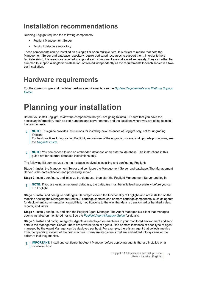## **Installation recommendations**

Running Foglight requires the following components:

- **•** Foglight Management Server
- **•** Foglight database repository

These components can be installed on a single tier or on multiple tiers. It is critical to realize that both the Management Server and database repository require dedicated resources to support them. In order to help facilitate sizing, the resources required to support each component are addressed separately. They can either be summed to support a single-tier installation, or treated independently as the requirements for each server in a twotier installation.

## **Hardware requirements**

For the current single- and multi-tier hardware requirements, see the *[System Requirements and Platform Support](http://documents.quest.com/foglight/5.9.8/system-requirements-and-platform-support-guide/)  [Guide](http://documents.quest.com/foglight/5.9.8/system-requirements-and-platform-support-guide/)*.

# <span id="page-6-0"></span>**Planning your installation**

Before you install Foglight, review the components that you are going to install. Ensure that you have the necessary information, such as port numbers and server names, and the locations where you are going to install the components.

**NOTE:** This guide provides instructions for installing new instances of Foglight only, not for upgrading Foglight.

For best practices for upgrading Foglight, an overview of the upgrade process, and upgrade procedures, see the *[Upgrade Guide](http://documents.quest.com/foglight/5.9.8/upgrade-guide/)*.

**NOTE:** You can choose to use an embedded database or an external database. The instructions in this ÷ guide are for external database installations only.

The following list summarizes the main stages involved in installing and configuring Foglight:

**Stage 1:** Install the Management Server and configure the Management Server and database. The Management Server is the data collection and processing server.

**Stage 2:** Install, configure, and initialize the database, then start the Foglight Management Server and log in.

**NOTE:** If you are using an external database, the database must be initialized successfully before you can **run Foglight.** 

**Stage 3:** Install and configure cartridges. Cartridges extend the functionality of Foglight, and are installed on the machine hosting the Management Server. A cartridge contains one or more cartridge components, such as agents for deployment, communication capabilities, modifications to the way that data is transformed or handled, rules, reports, and views.

**Stage 4:** Install, configure, and start the Foglight Agent Manager. The Agent Manager is a client that manages agents installed on monitored hosts. See the *[Foglight Agent Manager Guide](https://support.quest.com/foglight/5.9.8/technical-documents?filterType=Docset&filterValue=Foglight%20Agent%20Manager)* for details.

**Stage 5:** Install and configure agents. Agents are deployed on machines in your monitored environment and send data to the Management Server. There are several types of agents. One or more instances of each type of agent managed by the Agent Manager can be deployed per host. For example, there is an agent that collects metrics from the operating system of the host machine. There are also agents that are embedded into systems or the software that they monitor.

**IMPORTANT:** Install and configure the Agent Manager before deploying agents that are installed on a monitored host.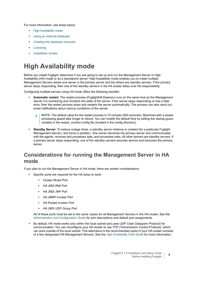For more information, see these topics:

- **•** [High Availability mode](#page-7-0)
- **•** [Using an external database](#page-8-0)
- **•** [Creating the database manually](#page-8-1)
- **•** [Licensing](#page-9-0)
- **•** [Installation modes](#page-10-0)

# <span id="page-7-0"></span>**High Availability mode**

Before you install Foglight, determine if you are going to set up and run the Management Server in High Availability (HA) mode or as a standalone server. High Availability mode enables you to install multiple Management Servers where one server is the primary server and the others are standby servers. If the primary server stops responding, then one of the standby servers in the HA cluster takes over the responsibility.

Configuring multiple servers using HA mode offers the following benefits:

- **Automatic restart:** The restart process (FoglightHA Daemon) runs on the same host as the Management Server it is monitoring and monitors the state of the server. If the server stops responding or has a fatal error, then the restart process stops and restarts the server automatically. The process can also send out email notifications about various conditions of the server.
	- **NOTE:** The default value for the restart process is 10 minutes (600 seconds). Machines with a slower ÷. processing speed take longer to reboot. You can modify the default time by editing the startup.grace variable in the restart monitor.config file (located in the config directory).
- **Standby Server:** To reduce outage times, a standby server instance is created (for a particular Foglight Management Server), and forms a partition. One server becomes the primary server and communicates with the agents, receives and processes data, and processes rules. All other servers are standby servers. If a primary server stops responding, one of the standby servers resumes service and becomes the primary server.

## **Considerations for running the Management Server in HA mode**

If you plan to run the Management Server in HA mode, there are certain considerations:

- **•** Specific ports are required for the HA setup to work:
	- **▪** Cluster Mcast Port
	- **▪** HA JNDI RMI Port
	- **▪** HA JNDI JNP Port
	- **▪** HA JRMP Invoker Port
	- **▪** HA Pooled Invoker Port
	- **▪** HA JNDI UDP Group Port

All of these ports must be set to the same values for all Management Servers in the HA cluster. See the *[Administration and Configuration Guide](http://documents.quest.com/foglight/5.9.8/administration-and-configuration-guide/)* for port descriptions and default port assignments.

**•** By default, HA mode works only within the local subnet and uses UDP (User Datagram Protocol) for communication. You can reconfigure your HA cluster to use TCP (Transmission Control Protocol), which can work outside of the local subnet. This alternative is the recommended option if your HA cluster consists of a few designated HA Management Servers. See the *[High Availability Field Guide](http://documents.quest.com/foglight/5.9.8/high-availability-field-guide/)* for more information.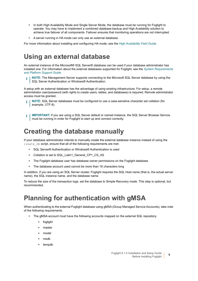- **•** In both High Availability Mode and Single Server Mode, the database must be running for Foglight to operate. You may have to implement a combined database-backup and High Availability solution to achieve true failover of all components. Failover ensures that monitoring operations are not interrupted.
- **•** A server running in HA mode can only use an external database.

For more information about installing and configuring HA mode, see the *[High Availability Field Guide](http://documents.quest.com/foglight/5.9.8/high-availability-field-guide/)*.

## <span id="page-8-0"></span>**Using an external database**

An external instance of the Microsoft® SQL Server® database can be used if your database administrator has installed one. For information about the external databases supported for Foglight, see the *[System Requirements](http://documents.quest.com/foglight/5.9.8/system-requirements-and-platform-support-guide/)  [and Platform Support Guide](http://documents.quest.com/foglight/5.9.8/system-requirements-and-platform-support-guide/)*.

**NOTE:** The Management Server supports connecting to the Microsoft SQL Server database by using the SQL Server Authentication or Windows® Authentication.

A setup with an external database has the advantage of using existing infrastructure. For setup, a remote administrator user/password (with rights to create users, tables, and databases) is required. Remote administrator access must be granted.

- **NOTE:** SQL Server databases must be configured to use a case-sensitive character set collation (for example, UTF-8).
- **I | IMPORTANT:** If you are using a SQL Server default or named instance, the SQL Server Browser Service must be running in order for Foglight to start up and connect correctly.

## <span id="page-8-1"></span>**Creating the database manually**

If your database administrator intends to manually create the external database instance instead of using the create db script, ensure that all of the following requirements are met:

- **•** SQL Server® Authentication or Windows® Authentication is used
- **•** Collation is set to SQL\_Latin1\_General\_CP1\_CS\_AS
- **•** The Foglight database user has database owner permissions on the Foglight database
- **•** The database account used cannot be more than 16 characters long

In addition, if you are using an SQL Server cluster, Foglight requires the SQL Host name (that is, the actual server name), the SQL instance name, and the database name.

To reduce the size of the transaction logs, set the database to Simple Recovery mode. This step is optional, but recommended.

# <span id="page-8-3"></span><span id="page-8-2"></span>**Planning for authentication with gMSA**

When authenticating to the external Foglight database using gMSA (Group Managed Service Accounts), take note of the following requirements.

- **•** The gMSA account must have the following accounts mapped on the external SQL repository.
	- **▪** foglight
	- **▪** master
	- **▪** model
	- **▪** msdb
	- **▪** tempdb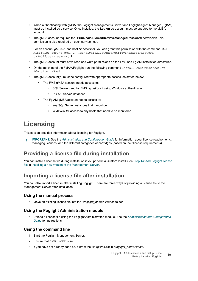- **•** When authenticating with gMSA, the Foglight Managements Server and Foglight Agent Manager (FglAM) must be installed as a service. Once installed, the **Log on as** account must be updated to the gMSA account.
- **•** The gMSA account requires the **-PrincipalsAllowedRetrieveManagedPassword** permission.This permission is also required on each service host.

For an account *gMSA01* and host *ServiceHost*, you can grant this permission with the command: Set-ADServiceAccount *gMSA01* -PrincipalsAllowedToRetrieveManagedPassword *gMSA01\$,ServiceHost\$* t

- **•** The gMSA account must have read and write permissions on the FMS and FglAM installation directories.
- On the machine of the FgIAM/Foglight, run the following command Install-ADServiceAccount -Identity *gMSA01*
- **•** The gMSA account(s) must be configured with appropriate access, as stated below:
	- **▪** The FMS gMSA account needs access to:
		- **▫** SQL Server used for FMS repository if using Windows authentication
		- **▫** PI SQL Server instances
	- **▪** The FglAM gMSA account needs access to:
		- **▫** any SQL Server instances that it monitors
		- **▫** WMI/WinRM access to any hosts that need to be monitored.

# <span id="page-9-0"></span>**Licensing**

This section provides information about licensing for Foglight.

**IMPORTANT:** See the *[Administration and Configuration Guide](http://documents.quest.com/foglight/5.9.8/administration-and-configuration-guide/)* for information about license requirements, i. managing licenses, and the different categories of cartridges (based on their license requirements).

## **Providing a license file during installation**

You can install a license file during installation if you perform a Custom Install. See [Step 14: Add Foglight license](#page-19-0)  [file](#page-19-0) in [Installing a new version of the Management Server.](#page-15-1)

### <span id="page-9-1"></span>**Importing a license file after installation**

You can also import a license after installing Foglight. There are three ways of providing a license file to the Management Server after installation.

### **Using the manual process**

**•** Move an existing license file into the *<foglight\_home>\license* folder.

### **Using the Foglight Administration module**

**•** Upload a license file using the Foglight Administration module. See the *[Administration and Configuration](http://documents.quest.com/foglight/5.9.8/administration-and-configuration-guide/)  [Guide](http://documents.quest.com/foglight/5.9.8/administration-and-configuration-guide/)* for instructions.

### **Using the command line**

- 1 Start the Foglight Management Server.
- 2 Ensure that JAVA HOME is set.
- 3 If you have not already done so, extract the file *fglcmd.zip* in *<foglight\_home>\tools*.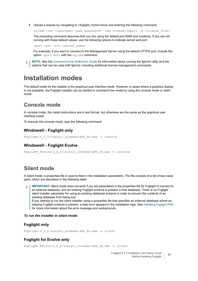4 Upload a license by navigating to *<foglight\_home>\tools* and entering the following command:

fglcmd -usr <username> -pwd <password> -cmd license:import -f <license file>

The preceding command assumes that you are using the default port 8080 and *localhost*. If you are not running with these default values, use the following options to indicate server and port:

-port <xx> -srv <server name>

For example, if you want to connect to the Management Server using the default HTTPS port, include the option -port 8443 with the fglcmd command.

**NOTE:** See the *[Command-Line Reference Guide](http://documents.quest.com/foglight/5.9.8/command-line-reference-guide/)* for information about running the fglcmd utility and the ÷ options that can be used with fglcmd, including additional license-management commands.

## <span id="page-10-0"></span>**Installation modes**

The default mode for the installer is the graphical user interface mode. However, in cases where a graphics display is not available, the Foglight installer can be started in command-line mode by using the console mode or silent mode.

## **Console mode**

In console mode, the install instructions are in text format, but otherwise are the same as the graphical user interface install.

To execute the console mode, type the following command:

### **Windows® - Foglight only**

```
Foglight-6_0_0-install_windows-x86_64.exe -i console
```
### **Windows® - Foglight Evolve**

Foglight Evolve-x x x-install windows-x86 64.exe -i console

### **Silent mode**

In silent mode, a properties file is used to feed in the installation parameters. The file consists of a list of key-value pairs, which are described in the following table.

**IMPORTANT:** Silent mode does not work if you set parameters in the properties file for Foglight to connect to an external database, and an existing Foglight schema is present in that database. There is no Foglight silent installer parameter for using an existing database schema in order to prevent the contents of an existing database from being lost.

If you attempt to run the silent installer using a properties file that specifies an external database where an existing Foglight schema is present, a fatal error appears in the installation logs. See [Installing Foglight FAQ](#page-32-2) for more information about the error message and workarounds.

### *To run the installer in silent mode:*

### **Foglight only**

Foglight-6\_0\_0-install\_windows-x86\_64.exe -i silent

### **Foglight for Evolve only**

Foglight-Evolve-x\_x\_x-install\_windows-x86\_64.exe -i silent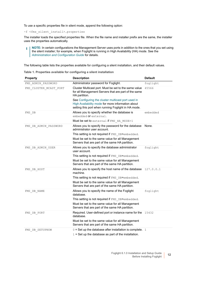To use a specific properties file in silent mode, append the following option:

-f <fms\_silent\_install>.properties

The installer loads the specified properties file. When the file name and installer prefix are the same, the installer uses the properties automatically.

**NOTE:** In certain configurations the Management Server uses ports in addition to the ones that you set using  $\mathbf i$ the silent installer; for example, when Foglight is running in High Availability (HA) mode. See the *[Administration and Configuration Guide](http://documents.quest.com/foglight/5.9.8/administration-and-configuration-guide/)* for details.

The following table lists the properties available for configuring a silent installation, and their default values.

|  |  |  |  |  | Table 1. Properties available for configuring a silent installation |
|--|--|--|--|--|---------------------------------------------------------------------|
|--|--|--|--|--|---------------------------------------------------------------------|

| <b>Property</b>        | <b>Description</b>                                                                                                                                             | <b>Default</b> |
|------------------------|----------------------------------------------------------------------------------------------------------------------------------------------------------------|----------------|
| FMS ADMIN PASSWORD     | Administrator password for Foglight.                                                                                                                           | foglight       |
| FMS CLUSTER MCAST PORT | Cluster Multicast port. Must be set to the same value<br>for all Management Servers that are part of the same<br>HA partition.                                 | 45566          |
|                        | See Configuring the cluster multicast port used in<br>High Availability mode for more information about<br>setting this port when running Foglight in HA mode. |                |
| FMS DB                 | Allows you to specify whether the database is<br>embedded or external.                                                                                         | embedded       |
|                        | Must be set to external if FMS_HA_MODE=1                                                                                                                       |                |
| FMS DB ADMIN PASSWORD  | Allows you to specify the password for the database<br>administrator user account.                                                                             | None.          |
|                        | This setting is not required if FMS DB=embedded.                                                                                                               |                |
|                        | Must be set to the same value for all Management<br>Servers that are part of the same HA partition.                                                            |                |
| FMS DB ADMIN USER      | Allows you to specify the database administrator<br>user account.                                                                                              | foqlight       |
|                        | This setting is not required if FMS DB=embedded.                                                                                                               |                |
|                        | Must be set to the same value for all Management<br>Servers that are part of the same HA partition.                                                            |                |
| FMS DB HOST            | Allows you to specify the host name of the database 127.0.0.1<br>machine.                                                                                      |                |
|                        | This setting is not required if FMS DB=embedded.                                                                                                               |                |
|                        | Must be set to the same value for all Management<br>Servers that are part of the same HA partition.                                                            |                |
| FMS DB NAME            | Allows you to specify the name of the Foglight<br>database.                                                                                                    | foglight       |
|                        | This setting is not required if FMS DB=embedded.                                                                                                               |                |
|                        | Must be set to the same value for all Management<br>Servers that are part of the same HA partition.                                                            |                |
| FMS DB PORT            | Required. User-defined port or instance name for the 15432<br>database.                                                                                        |                |
|                        | Must be set to the same value for all Management<br>Servers that are part of the same HA partition.                                                            |                |
| FMS DB SETUPNOW        | $0 =$ Set up the database after installation is complete. 1                                                                                                    |                |
|                        | $1 = Set$ up the database as part of the installation.                                                                                                         |                |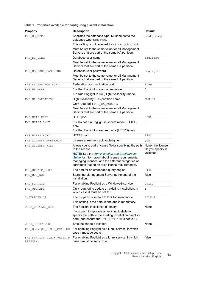**Table 1. Properties available for configuring a silent installation**

| <b>Property</b>                      | <b>Description</b>                                                                                                                                                                                                    | <b>Default</b>                           |
|--------------------------------------|-----------------------------------------------------------------------------------------------------------------------------------------------------------------------------------------------------------------------|------------------------------------------|
| FMS DB TYPE                          | Specifies the database type. Must be set to the                                                                                                                                                                       | postgresql                               |
|                                      | database type: (sqlsvr).                                                                                                                                                                                              |                                          |
|                                      | This setting is not required if FMS DB=embedded.<br>Must be set to the same value for all Management                                                                                                                  |                                          |
|                                      | Servers that are part of the same HA partition.                                                                                                                                                                       |                                          |
| FMS_DB_USER                          | Database user name.                                                                                                                                                                                                   | foglight                                 |
|                                      | Must be set to the same value for all Management<br>Servers that are part of the same HA partition.                                                                                                                   |                                          |
| FMS DB USER PASSWORD                 | Database user password.                                                                                                                                                                                               | foglight                                 |
|                                      | Must be set to the same value for all Management<br>Servers that are part of the same HA partition.                                                                                                                   |                                          |
| FMS FEDERATION PORT                  | Federation communication port.                                                                                                                                                                                        | 1099                                     |
| FMS HA MODE                          | 0 = Run Foglight in standalone mode.                                                                                                                                                                                  | 0                                        |
|                                      | 1 = Run Foglight in HA (High Availability) mode.                                                                                                                                                                      |                                          |
| FMS HA PARTITION                     | High Availability (HA) partition name.                                                                                                                                                                                | FMS HA                                   |
|                                      | Only required if FMS HA MODE=1.                                                                                                                                                                                       |                                          |
|                                      | Must be set to the same value for all Management<br>Servers that are part of the same HA partition.                                                                                                                   |                                          |
| FMS HTTP PORT                        | HTTP port.                                                                                                                                                                                                            | 8080                                     |
| FMS_HTTPS_ONLY                       | 0 = Do not run Foglight in secure mode (HTTPS)<br>only.                                                                                                                                                               | $\overline{0}$                           |
|                                      | $1 =$ Run Foglight in secure mode (HTTPS) only.                                                                                                                                                                       |                                          |
| FMS HTTPS PORT                       | HTTPS port.                                                                                                                                                                                                           | 8443                                     |
| FMS LICENSE AGREEMENT                | License agreement acknowledgment.                                                                                                                                                                                     | yes                                      |
| FMS_LICENSE_FILE                     | Allows you to add a license file by specifying the path<br>to the license.                                                                                                                                            | None (the license<br>file you specify is |
|                                      | <b>NOTE:</b> See the Administration and Configuration<br>Guide for information about license requirements,<br>managing licenses, and the different categories of<br>cartridges (based on their license requirements). | validated).                              |
| FMS QP5APP PORT                      | The port for an embedded query engine.                                                                                                                                                                                | 8448                                     |
| FMS RUN NOW                          | Starts the Management Server at the end of the<br>installation.                                                                                                                                                       | false                                    |
| FMS SERVICE                          | For enabling Foglight as a Windows® service.                                                                                                                                                                          | false                                    |
| FMS UPGRADE                          | Only required to update an existing installation, in<br>which case it must be set to 1.                                                                                                                               | $\mathbf{1}$                             |
| INSTALLER UI                         | The property is set to SILENT for silent mode.                                                                                                                                                                        | SILENT                                   |
|                                      | This setting is the default one and is mandatory.                                                                                                                                                                     |                                          |
| USER INSTALL DIR                     | The Foglight installation directory.                                                                                                                                                                                  | None.                                    |
|                                      | If you want to upgrade an existing installation,<br>specify the path to the existing installation directory<br>here (and ensure that FMS_UPGRADE is set to 1).                                                        |                                          |
| USER SHORTCUTS                       | Sets the shortcut location.                                                                                                                                                                                           | None.                                    |
| FMS_SERVICE_LINUX_ENABLED            | For enabling Foglight as a Linux service, in which<br>case it must be set to 1.                                                                                                                                       | $\mathbf 0$                              |
| FMS_SERVICE_LINUX_VALID_P<br>LATFORM | For enabling Foglight as a Linux service, in which<br>case it must be set to true.                                                                                                                                    | false                                    |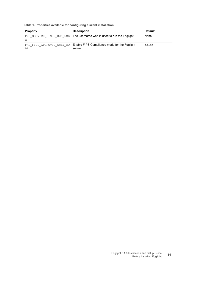**Table 1. Properties available for configuring a silent installation**

| <b>Property</b> | <b>Description</b>                                                                | <b>Default</b> |
|-----------------|-----------------------------------------------------------------------------------|----------------|
| R               | FMS SERVICE LINUX RUN USE The username who is used to run the Foglight.           | None.          |
| DE              | FMS FIPS APPROVED ONLY MO Enable FIPS Compliance mode for the Foglight<br>server. | false          |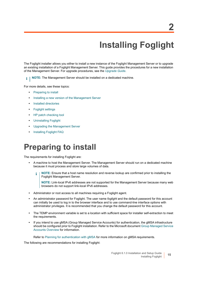# <span id="page-14-2"></span>**Installing Foglight**

**2**

<span id="page-14-0"></span>The Foglight installer allows you either to install a new instance of the Foglight Management Server or to upgrade an existing installation of a Foglight Management Server. This guide provides the procedures for a new installation of the Management Server. For upgrade procedures, see the *[Upgrade Guide](http://documents.quest.com/foglight/5.9.8/upgrade-guide/)*.

**NOTE:** The Management Server should be installed on a dedicated machine. f.

For more details, see these topics:

- **•** [Preparing to install](#page-14-1)
- **•** [Installing a new version of the Management Server](#page-15-0)
- **•** [Installed directories](#page-21-2)
- **•** [Foglight settings](#page-23-0)
- **•** [HP patch checking tool](#page-31-1)
- **•** [Uninstalling Foglight](#page-31-2)
- **•** [Upgrading the Management Server](#page-32-0)
- **•** [Installing Foglight FAQ](#page-32-1)

# <span id="page-14-1"></span>**Preparing to install**

The requirements for installing Foglight are:

- **•** A machine to host the Management Server. The Management Server should run on a dedicated machine because it must process and store large volumes of data.
	- **NOTE:** Ensure that a host name resolution and reverse lookup are confirmed prior to installing the í Foglight Management Server.

**NOTE:** Link-local IPv6 addresses are not supported for the Management Server because many web browsers do not support link-local IPv6 addresses.

- **•** Administrator or root access to all machines requiring a Foglight agent.
- **•** An administrator password for Foglight. The user name *foglight* and the default password for this account can initially be used to log in to the browser interface and to use command-line interface options with administrator privileges. It is recommended that you change the default password for this account.
- **•** The TEMP environment variable is set to a location with sufficient space for installer self-extraction to meet the requirements.
- **•** If you intend to use gMSA (Group Managed Service Accounts) for authentication, the gMSA infrastructure should be configured prior to Foglight installation. Refer to the Microsoft document [Group Managed Service](https://docs.microsoft.com/en-us/windows-server/security/group-managed-service-accounts/group-managed-service-accounts-overview)  [Accounts Overview](https://docs.microsoft.com/en-us/windows-server/security/group-managed-service-accounts/group-managed-service-accounts-overview) for information.

Refer to [Planning for authentication with gMSA f](https://docs.microsoft.com/en-us/windows-server/security/group-managed-service-accounts/group-managed-service-accounts-overview)or more information on gMSA requirements.

The following are recommendations for installing Foglight: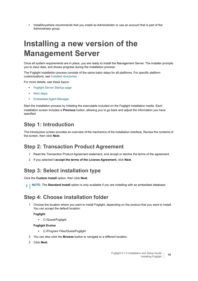**•** InstallAnywhere recommends that you install as Administrator or use an account that is part of the Administrator group.

# <span id="page-15-1"></span><span id="page-15-0"></span>**Installing a new version of the Management Server**

Once all system requirements are in place, you are ready to install the Management Server. The installer prompts you to input data, and shows progress during the installation process.

The Foglight installation process consists of the same basic steps for all platforms. For specific platform customizations, see [Installed directories.](#page-21-2)

For more details, see these topics:

- **•** [Foglight Server Startup page](#page-20-0)
- **•** [Next steps](#page-21-0)
- **•** [Embedded Agent Manager](#page-21-1)

Start the installation process by initiating the executable included on the Foglight installation media. Each installation screen includes a **Previous** button, allowing you to go back and adjust the information you have specified.

## **Step 1: Introduction**

The Introduction screen provides an overview of the mechanics of the installation interface. Review the contents of the screen, then click **Next**.

### **Step 2: Transaction Product Agreement**

- 1 Read the Transaction Product Agreement statement, and accept or decline the terms of the agreement.
- 2 If you selected **I accept the terms of the License Agreement**, click **Next**.

### **Step 3: Select installation type**

Click the **Custom Install** option, then click **Next**.

**i** | NOTE: The Standard Install option is only available if you are installing with an embedded database.

## **Step 4: Choose installation folder**

1 Choose the location where you want to install Foglight, depending on the product that you want to install. You can accept the default location:

### **Foglight**

*▪ C:/Quest/Foglight*

### **Foglight Evolve**

- *▪ C:/Program Files/Quest/Foglight*
- 2 You can also click the **Browse** button to navigate to a different location.
- 3 Click **Next**.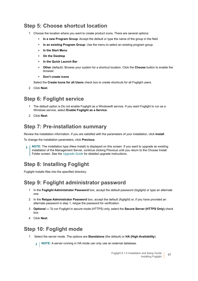## **Step 5: Choose shortcut location**

- 1 Choose the location where you want to create product icons. There are several options:
	- **▪ In a new Program Group**: Accept the default or type the name of the group in the field.
	- **In an existing Program Group:** Use the menu to select an existing program group.
	- **▪ In the Start Menu**
	- **▪ On the Desktop**
	- **▪ In the Quick Launch Bar**
	- **Other** (default): Browse your system for a shortcut location. Click the **Choose** button to enable the browser.
	- **▪ Don't create icons**

Select the **Create Icons for all Users** check box to create shortcuts for all Foglight users.

2 Click **Next**.

## **Step 6: Foglight service**

- 1 The default option is Do not enable Foglight as a Windows® service. If you want Foglight to run as a Windows service, select **Enable Foglight as a Service**.
- 2 Click **Next**.

## **Step 7: Pre-installation summary**

Review the installation information. If you are satisfied with the parameters of your installation, click **Install**.

To change the installation parameters, click **Previous**.

**NOTE:** The installation type (New Install) is displayed on this screen. If you want to upgrade an existing ÷ installation of the Management Server, continue clicking Previous until you return to the Choose Install Folder screen. See the *[Upgrade Guide](http://documents.quest.com/foglight/5.9.6/upgrade-guide/)* for detailed upgrade instructions.

## **Step 8: Installing Foglight**

Foglight installs files into the specified directory.

## **Step 9: Foglight administrator password**

- 1 In the **Foglight Administrator Password** box, accept the default password (*foglight)* or type an alternate one.
- 2 In the **Retype Administrator Password** box, accept the default *(foglight)* or, if you have provided an alternate password in step 1, retype the password for verification.
- 3 **Optional** To run Foglight in secure mode (HTTPS) only, select the **Secure Server (HTTPS Only)** check box.
- 4 Click **Next**.

## <span id="page-16-0"></span>**Step 10: Foglight mode**

1 Select the server mode. The options are **Standalone** (the default) or **HA (High Availability**).

**i** | NOTE: A server running in HA mode can only use an external database.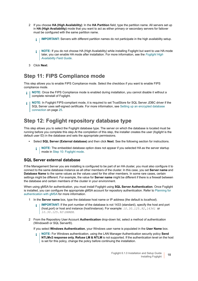- 2 If you choose **HA (High Availability)**: In the **HA Partition** field, type the partition name. All servers set up in **HA (High Availability)** mode that you want to act as either primary or secondary servers for failover must be configured with the same partition name.
	- **I IMPORTANT:** Servers with different partition names do not participate in the high availability setup.
	- **NOTE:** If you do not choose HA (High Availability) while installing Foglight but want to use HA mode î later, you can enable HA mode after installation. For more information, see the *[Foglight High](http://documents.quest.com/foglight/5.9.7/high-availability-field-guide/)  [Availability Field Guide](http://documents.quest.com/foglight/5.9.7/high-availability-field-guide/)*.
- 3 Click **Next**.

## **Step 11: FIPS Compliance mode**

This step allows you to enable FIPS Compliance mode. Select the checkbox if you want to enable FIPS compliance mode.

- **NOTE:** Once the FIPS Compliance mode is enabled during installation, you cannot disable it without a ÷ complete reinstall of Foglight.
- **NOTE:** In Foglight FIPS-compliant mode, it is required to set TrustStore for SQL Server JDBC driver if the ÷ SQL Server uses self-signed certificate. For more information, see [Setting up an encrypted database](#page-25-0)  [connection on page 25.](#page-25-0)

## <span id="page-17-0"></span>**Step 12: Foglight repository database type**

This step allows you to select the Foglight database type. The server on which the database is located must be running before you complete this step.At the completion of this step, the installer creates the user (*foglight* is the default user ID) in the database and sets the appropriate permissions.

- **•** Select **SQL Server (External database)** and then click **Next**. See the following section for instructions.
	- **NOTE:** The embedded database option does not appear if you selected HA as the server startup f. mode in [Step 10: Foglight mode](#page-16-0).

### **SQL Server external database**

If the Management Server you are installing is configured to be part of an HA cluster, you must also configure it to connect to the same database instance as all other members of the cluster. In this case, you set **Server name** and **Database Name** to the same values as the values used for the other members. In some rare cases, certain settings might be different. For example, the value for **Server name** might be different if there is a firewall between the database and certain members of the cluster in your environment.

When using gMSA for authentication, you must install Foglight using **SQL Server Authentication**. Once Foglight is installed, you can configure the appropriate gMSA account for repository authentication. Refer to [Planning for](#page-8-3)  [authentication with gMSA](#page-8-3) for more information.

- 1 In the **Server name** box, type the database host name or IP address (the default is *localhost*).
	- **IMPORTANT:** If the port number of the database is not 1433 (standard), specify the host and port i (host,port) or host and instance (host\instance). For example: *10.30.125.92,14341* or *10.30.125.92\SHREK*.
- 2 From the Repository User Account **Authentication** drop-down list, select a method of authentication (Windows® or SQL Server®).

If you select **Windows Authentication**, your Windows user name is populated in the **User Name** box.

**NOTE:** For Windows authentication, using the LAN Manager Authentication security policy **Send**  ÷ **NTLMv2 response only. Refuse LM & NTLM** is not supported. If the authentication level on the host is set for this policy, change the policy before continuing the installation.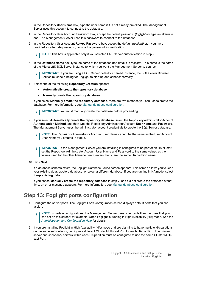- 3 In the Repository **User Name** box, type the user name if it is not already pre-filled. The Management Server uses this account to connect to the database.
- 4 In the Repository User Account **Password** box, accept the default password (*foglight*) or type an alternate one. The Management Server uses this password to connect to the database.
- 5 In the Repository User Account **Retype Password** box, accept the default *(foglight)* or, if you have provided an alternate password, re-type the password for verification.

**i** | NOTE: This box is applicable only if you selected SQL Server authentication in step 2.

6 In the **Database Name** box, type the name of the database (the default is *foglight*). This name is the name of the Microsoft® SQL Server instance to which you want the Management Server to connect.

**I | IMPORTANT:** If you are using a SQL Server default or named instance, the SQL Server Browser Service must be running for Foglight to start up and connect correctly.

- 7 Select one of the following **Repository Creation** options:
	- **▪ Automatically create the repository database**
	- **▪ Manually create the repository database**
- 8 If you select **Manually create the repository database**, there are two methods you can use to create the database. For more information, see [Manual database configuration](#page-34-3).

**IMPORTANT:** You must manually create the database before proceeding.  $\mathbf{i}$ 

- 9 If you select **Automatically create the repository database**, select the Repository Administrator Account **Authentication Method**, and then type the Repository Administrator Account **User Name** and **Password**. The Management Server uses the administrator account credentials to create the SQL Server database.
	- **NOTE:** The Repository Administrator Account User Name cannot be the same as the User Account ÷ User Name you created in step 3.
	- **IMPORTANT:** If the Management Server you are installing is configured to be part of an HA cluster, ÷ set the Repository Administrator Account User Name and Password to the same values as the values used for the other Management Servers that share the same HA partition name.
- 10 Click **Next**.

If a database schema exists, the Foglight Database Found screen appears. This screen allows you to keep your existing data, create a database, or select a different database. If you are running in HA mode, select **Keep existing data**.

If you chose **Manually create the repository database** in step 7, and did not create the database at that time, an error message appears. For more information, see [Manual database configuration](#page-34-3).

### **Step 13: Foglight ports configuration**

- 1 Configure the server ports. The Foglight Ports Configuration screen displays default ports that you can assign.
	- **NOTE:** In certain configurations, the Management Server uses other ports than the ones that you ÷ can set on this screen; for example, when Foglight is running in High Availability (HA) mode. See the *[Administration and Configuration Help](http://documents.quest.com/foglight/5.9.8/administration-and-configuration-guide/)* for details.
- 2 If you are installing Foglight in High Availability (HA) mode and are planning to have multiple HA partitions on the same sub-network, configure a different Cluster Multi-cast Port for each HA partition. The primary server and secondary servers within each HA partition must be configured to use the same Cluster Multicast Port.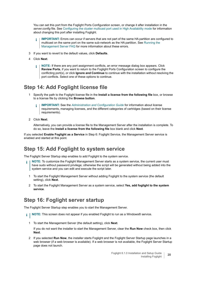You can set this port from the Foglight Ports Configuration screen, or change it after installation in the *server.config* file. See [Configuring the cluster multicast port used in High Availability mode](#page-26-2) for information about changing this port after installing Foglight.

- **IMPORTANT:** Errors can occur if servers that are not part of the same HA partition are configured to å multicast on the same port on the same sub-network as the HA partition. See [Running the](#page-40-3)  [Management Server FAQ](#page-40-3) for more information about these errors.
- 3 If you want to revert to the default values, click **Defaults**.
- 4 Click **Next**.
	- **NOTE:** If there are any port assignment conflicts, an error message dialog box appears. Click ÷. **Review Ports**, if you want to return to the Foglight Ports Configuration screen to configure the conflicting port(s), or click **Ignore and Continue** to continue with the installation without resolving the port conflicts. Select one of these options to continue.

### <span id="page-19-1"></span><span id="page-19-0"></span>**Step 14: Add Foglight license file**

- 1 Specify the path to the Foglight license file in the **Install a license from the following file** box, or browse to a license file by clicking the **Browse button**.
	- **IMPORTANT:** See the *[Administration and Configuration Guide](http://documents.quest.com/foglight/5.9.8/administration-and-configuration-guide/)* for information about license ÷ requirements, managing licenses, and the different categories of cartridges (based on their license requirements).
- 2 Click **Next**.

Alternatively, you can provide a license file to the Management Server after the installation is complete. To do so, leave the **Install a license from the following file** box blank and click **Next**.

If you selected **Enable Foglight as a Service** in Step 6: Foglight Service, the Management Server service is enabled and started at this point.

### **Step 15: Add Foglight to system service**

The Foglight Server Startup step enables to add Foglight to the system service.

- **NOTE:** To customize the Foglight Management Server starts as a system service, the current user must ÷ have sudo without password privilege; otherwise the script will be generated without being added into the system service and you can edit and execute the script later.
	- 1 To start the Foglight Management Server without adding Foglight to the system service (the default setting), click **Next**.
	- 2 To start the Foglight Management Server as a system service, select **Yes, add foglight to the system service**.

## **Step 16: Foglight server startup**

The Foglight Server Startup step enables you to start the Management Server.

- **NOTE:** This screen does not appear if you enabled Foglight to run as a Windows® service. $\mathbf{i}$ 
	- 1 To start the Management Server (the default setting), click **Next**.

If you do not want the installer to start the Management Server, clear the **Run Now** check box, then click **Next**.

2 If you selected **Run Now**, the installer starts Foglight and the Foglight Server Startup page launches in a web browser (if a web browser is available). If a web browser is not available, the Foglight Server Startup page does not launch.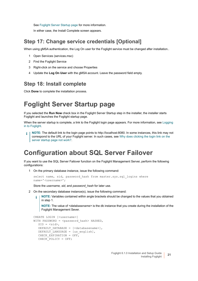See [Foglight Server Startup page](#page-20-0) for more information.

In either case, the Install Complete screen appears.

### **Step 17: Change service credentials [Optional]**

When using gMSA authentication, the Log On user for the Foglight service must be changed after installation..

- 1 Open Services (services.msc)
- 2 Find the Foglight Service
- 3 Right-click on the service and choose Properties
- 4 Update the **Log On User** with the gMSA account. Leave the password field empty.

## **Step 18: Install complete**

Click **Done** to complete the installation process.

# <span id="page-20-0"></span>**Foglight Server Startup page**

If you selected the **Run Now** check box in the Foglight Server Startup step in the installer, the installer starts Foglight and launches the Foglight startup page.

When the server startup is complete, a link to the Foglight login page appears. For more information, see [Logging](#page-39-3)  [in to Foglight](#page-39-3).

**NOTE:** The default link to the login page points to http://localhost:8080. In some instances, this link may not ÷ correspond to the URL of your Foglight server. In such cases, see [Why does clicking the login link on the](#page-41-0)  [server startup page not work?.](#page-41-0)

## <span id="page-20-1"></span>**Configuration about SQL Server Failover**

If you want to use the SQL Server Failover function on the Foglight Management Server, perform the following configurations:

1 On the primary database instance, issue the following command:

```
select name, sid, password_hash from master.sys.sql_logins where 
name='<username>';
```
Store the *username, sid*, and *password\_hash* for later use.

- 2 On the secondary database instance(s), issue the following command:
	- **NOTE:** Variables contained within angle brackets should be changed to the values that you obtained ÷ in step 1.

**NOTE:** The value of *<databasename>* is the db instance that you create during the installation of the Foglight Management Sever.

```
CREATE LOGIN [<username>] 
WITH PASSWORD = <password hash> HASHED,
  SID = <sid,
  DEFAULT DATABASE = [<databasename>],
  DEFAULT LANGUAGE = [us_english],
  CHECK EXPIRATION = OFF,
   CHECK_POLICY = OFF;
```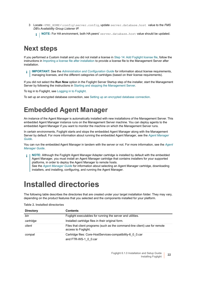- 3 Locate <FMS\_HOME>\config\server.config, update server.database.host value to the *FMS DB's Availability Group Listener IP.*
	- **NOTE:** For HA environment, both HA peers' server.database.host value should be updated. i I

## <span id="page-21-0"></span>**Next steps**

If you performed a Custom Install and you did not install a license in [Step 14: Add Foglight license file](#page-19-1), follow the instructions in [Importing a license file after installation](#page-9-1) to provide a license file to the Management Server after installation.

**IMPORTANT:** See the *[Administration and Configuration Guide](http://documents.quest.com/foglight/5.9.8/administration-and-configuration-guide/)* for information about license requirements, ÷ managing licenses, and the different categories of cartridges (based on their license requirements).

If you did not select the **Run Now** option in the Foglight Server Startup step of the installer, start the Management Server by following the instructions in [Starting and stopping the Management Server.](#page-37-3)

To log in to Foglight, see [Logging in to Foglight.](#page-39-3)

To set up an encrypted database connection, see [Setting up an encrypted database connection.](#page-25-0)

## <span id="page-21-1"></span>**Embedded Agent Manager**

An instance of the Agent Manager is automatically installed with new installations of the Management Server. This embedded Agent Manager instance runs on the Management Server machine. You can deploy agents to the embedded Agent Manager if you want to monitor the machine on which the Management Server runs.

In certain environments, Foglight starts and stops the embedded Agent Manager along with the Management Server by default. For more information about running the embedded Agent Manager, see the *[Agent Manager](https://support.quest.com/foglight-for-virtualization-enterprise-edition/5.9.8/technical-documents?filterType=Docset&filterValue=Foglight%20Agent%20Manager)  [Guide](https://support.quest.com/foglight-for-virtualization-enterprise-edition/5.9.8/technical-documents?filterType=Docset&filterValue=Foglight%20Agent%20Manager)*.

You can run the embedded Agent Manager in tandem with the server or not. For more information, see the *[Agent](https://support.quest.com/foglight-for-virtualization-enterprise-edition/5.9.8/technical-documents?filterType=Docset&filterValue=Foglight%20Agent%20Manager)  [Manager Guide](https://support.quest.com/foglight-for-virtualization-enterprise-edition/5.9.8/technical-documents?filterType=Docset&filterValue=Foglight%20Agent%20Manager)*.

**NOTE:** Although the Foglight Agent Manager Adapter cartridge is installed by default with the embedded Agent Manager, you must install an Agent Manager cartridge that contains installers for your supported platforms, in order to deploy the Agent Manager to remote hosts. See the *[Agent Manager Guide](https://support.quest.com/foglight-for-virtualization-enterprise-edition/5.9.8/technical-documents?filterType=Docset&filterValue=Foglight%20Agent%20Manager)* for information about selecting an Agent Manager cartridge, downloading installers, and installing, configuring, and running the Agent Manager.

# <span id="page-21-2"></span>**Installed directories**

The following table describes the directories that are created under your target installation folder. They may vary, depending on the product features that you selected and the components installed for your platform.

| <b>Directory</b> | <b>Contents</b>                                                                                    |
|------------------|----------------------------------------------------------------------------------------------------|
| bin              | Foglight executables for running the server and utilities.                                         |
| cartridge        | Installed cartridge files in their original form.                                                  |
| client           | Files that client programs (such as the command-line client) use for remote<br>access to Foglight. |
| compat           | Cartridge files: Core-HostServices-compatibility-6 0 0.car<br>and FTR-WS-1 0 0.car                 |

**Table 2. Installed directories**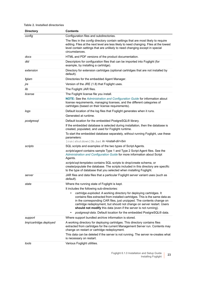### **Table 2. Installed directories**

| <b>Directory</b>       | <b>Contents</b>                                                                                                                                                                                                                                                                                                                                                                                                                                               |
|------------------------|---------------------------------------------------------------------------------------------------------------------------------------------------------------------------------------------------------------------------------------------------------------------------------------------------------------------------------------------------------------------------------------------------------------------------------------------------------------|
| config                 | Configuration files and subdirectories.                                                                                                                                                                                                                                                                                                                                                                                                                       |
|                        | The files in the config directory contain settings that are most likely to require<br>editing. Files at the next level are less likely to need changing. Files at the lowest<br>level contain settings that are unlikely to need changing except in special<br>circumstances.                                                                                                                                                                                 |
| docs                   | HTML and PDF versions of the product documentation.                                                                                                                                                                                                                                                                                                                                                                                                           |
| dtd                    | Descriptors for configuration files that can be imported into Foglight (for<br>example, by installing a cartridge).                                                                                                                                                                                                                                                                                                                                           |
| extension              | Directory for extension cartridges (optional cartridges that are not installed by<br>default).                                                                                                                                                                                                                                                                                                                                                                |
| fglam                  | Directories for the embedded Agent Manager.                                                                                                                                                                                                                                                                                                                                                                                                                   |
| jre                    | Version of the JRE (1.8) that Foglight uses.                                                                                                                                                                                                                                                                                                                                                                                                                  |
| lib                    | The Foglight JAR files.                                                                                                                                                                                                                                                                                                                                                                                                                                       |
| license                | The Foglight license file you install.                                                                                                                                                                                                                                                                                                                                                                                                                        |
|                        | NOTE: See the Administration and Configuration Guide for information about<br>license requirements, managing licenses, and the different categories of<br>cartridges (based on their license requirements).                                                                                                                                                                                                                                                   |
| logs                   | Default location of the log files that Foglight generates when it runs.                                                                                                                                                                                                                                                                                                                                                                                       |
|                        | Generated at runtime.                                                                                                                                                                                                                                                                                                                                                                                                                                         |
| postgresql             | Default location for the embedded PostgreSQL® library.                                                                                                                                                                                                                                                                                                                                                                                                        |
|                        | If the embedded database is selected during installation, then the database is<br>created, populated, and used for Foglight runtime.                                                                                                                                                                                                                                                                                                                          |
|                        | To start the embedded database separately, without running Foglight, use these<br>parameters:<br>[run shutdown]Db.bat in <install-dir>/bin</install-dir>                                                                                                                                                                                                                                                                                                      |
| scripts                | SQL scripts and examples of the two types of Script Agents.                                                                                                                                                                                                                                                                                                                                                                                                   |
|                        | scripts\agent contains sample Type 1 and Type 2 Script Agent files. See the                                                                                                                                                                                                                                                                                                                                                                                   |
|                        | Administration and Configuration Guide for more information about Script<br>Agents.                                                                                                                                                                                                                                                                                                                                                                           |
|                        | scripts\sql-templates contains SQL scripts to drop/create schema, or<br>create/populate the database. The scripts included in this directory are specific<br>to the type of database that you selected when installing Foglight.                                                                                                                                                                                                                              |
| server                 | JAR files and data files that a particular Foglight server variant uses (such as<br>default).                                                                                                                                                                                                                                                                                                                                                                 |
| state                  | Where the running state of Foglight is kept.                                                                                                                                                                                                                                                                                                                                                                                                                  |
|                        | It includes the following sub-directories:                                                                                                                                                                                                                                                                                                                                                                                                                    |
|                        | cartridge.exploded. A working directory for deploying cartridges. It<br>٠<br>contains files extracted from installed cartridges. This is the same data as<br>in the corresponding CAR files, just unzipped. The contents change on<br>cartridge redeployment, but should not change on server restart. Users<br>should not modify this data (even if the server is not running).<br>postgresql-data. Default location for the embedded PostgreSQL® data.<br>٠ |
| support                | Where support bundled archive information is stored.                                                                                                                                                                                                                                                                                                                                                                                                          |
| tmp\cartridge.deployed | A working directory for deploying cartridges. This directory contains files<br>extracted from cartridges for the current Management Server run. Contents may<br>change on restart or cartridge redeployment.<br>This data can be deleted if the server is not running. The server re-creates what                                                                                                                                                             |
|                        | is necessary on restart.                                                                                                                                                                                                                                                                                                                                                                                                                                      |
| tools                  | Various Foglight utilities.                                                                                                                                                                                                                                                                                                                                                                                                                                   |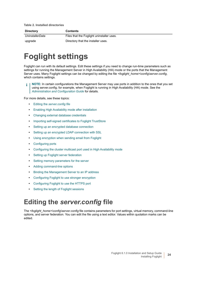**Table 2. Installed directories**

| <b>Directory</b> | <b>Contents</b>                           |
|------------------|-------------------------------------------|
| UninstallerData  | Files that the Foglight uninstaller uses. |
| upgrade          | Directory that the installer uses.        |

# <span id="page-23-0"></span>**Foglight settings**

Foglight can run with its default settings. Edit these settings if you need to change run-time parameters such as settings for running the Management Server in High Availability (HA) mode or the ports that the Management Server uses. Many Foglight settings can be changed by editing the file *<foglight\_home>\config\server.config*, which contains settings.

**NOTE:** In certain configurations the Management Server may use ports in addition to the ones that you set ÷ using server.config; for example, when Foglight is running in High Availability (HA) mode. See the *[Administration and Configuration Guide](http://documents.quest.com/foglight/5.9.8
/administration-and-configuration-guide/)* for details.

For more details, see these topics:

- **•** Editing the *[server.config file](#page-23-1)*
- **•** [Enabling High Availability mode after installation](#page-24-0)
- **•** [Changing external database credentials](#page-24-1)
- **•** [Importing self-signed certificates to Foglight TrustStore](#page-24-2)
- **•** [Setting up an encrypted database connection](#page-25-0)
- **•** [Setting up an encrypted LDAP connection with SSL](#page-25-1)
- **•** [Using encryption when sending email from Foglight](#page-26-0)
- **•** [Configuring ports](#page-26-1)
- **•** [Configuring the cluster multicast port used in High Availability mode](#page-26-2)
- **•** [Setting up Foglight server federation](#page-26-3)
- **•** [Setting memory parameters for the server](#page-26-4)
- **•** [Adding command-line options](#page-27-0)
- **•** [Binding the Management Server to an IP address](#page-28-0)
- **•** [Configuring Foglight to use stronger encryption](#page-28-1)
- **•** [Configuring Foglight to use the HTTPS port](#page-28-2)
- **•** [Setting the length of Foglight sessions](#page-31-0)

# <span id="page-23-1"></span>**Editing the** *server.config* **file**

The <foglight\_home>\config\server.config file contains parameters for port settings, virtual memory, command-line options, and server federation. You can edit the file using a text editor. Values within quotation marks can be edited.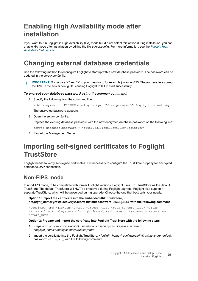# <span id="page-24-0"></span>**Enabling High Availability mode after installation**

If you want to run Foglight in High Availability (HA) mode but did not select this option during installation, you can enable HA mode after installation by editing the file *server.config*. For more information, see the *[Foglight High](http://documents.quest.com/foglight/5.9.8/administration-and-configuration-guide/)  [Availability Field Guide](http://documents.quest.com/foglight/5.9.8/administration-and-configuration-guide/)*.

# <span id="page-24-1"></span>**Changing external database credentials**

Use the following method to reconfigure Foglight to start up with a new database password. The password can be updated in the *server.config* file.

**IMPORTANT:** Do not use "<" and ">" in your password, for example jo<anne>123. These characters corrupt the XML in the server.config file, causing Foglight to fail to start successfully.

### *To encrypt your database password using the keyman command:*

1 Specify the following from the command line:

> bin\keyman -d [FGLHOME\config] encpwd "<new password>" foglight.defaultkey

The encrypted password appears.

- 2 Open the *server.config* file.
- 3 Replace the existing database password with the new encrypted database password on the following line: server.database.password = "q4056753111e8a24c9a722048fc6df1f0"
- 4 Restart the Management Server.

## <span id="page-24-2"></span>**Importing self-signed certificates to Foglight TrustStore**

Foglight needs to verify self-signed certificates. It is necessary to configure the TrustStore properly for encrypted database/LDAP connection.

## **Non-FIPS mode**

In non-FIPS mode, to be compatible with former Foglight versions, Foglight uses JRE TrustStore as the default TrustStore. The default TrustStore will NOT be preserved during Foglight upgrade. Foglight also support a separate TrustStore, which will be preserved during upgrade. Choose the one that best suits your needs:

**Option 1: Import the certificate into the embedded JRE TrustStore,**  *<foglight\_home>\jre\lib\security\cacerts* **(default password: changeit), with the following command**:

```
<foglight_home>\jre\bin\keytool -import -file <path_to_cert_file> -alias 
\lambda salias of cert> -keystore \alpha \neq \alpha \neq \alpha \neq \alpha \neq \alpha \neq \alpha \neq \alpha \neq \alpha \neq \alpha \neq \alpha \neq \alpha \neq \alpha \neq \alpha \neq \alpha \neq \alpha \neq \alpha \neq \alpha \neq \alpha<store_pwd>
```
### **Option 2: Prepare and import the certificate into Foglight TrustStore with the following steps**:

- 1 Prepare TrustStore: copy *<foglight\_home>\config\security\trust.keystore.sample* to *<foglight\_home>\config\security\trust.keystore*
- 2 Import the certificate into the Foglight TrustStore, *<foglight\_home>\ config\security\trust.keystore* (default password: nitrogen), with the following command: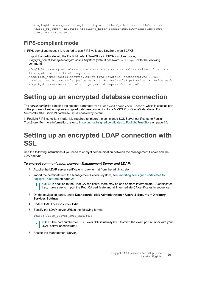```
<foglight_home>\jre\bin\keytool -import -file <path_to_cert_file> -alias 
<alias_of_cert> -keystore <foglight_home>\config\security\trust.keystore -
storepass <store pwd>
```
### **FIPS-compliant mode**

In FIPS-compliant mode, it is required to use FIPS-validated KeyStore type BCFKS.

Import the certificate into the Foglight default TrustStore in FIPS-compliant mode, *<foglight\_home>\config\security\trust.fips.keystore* (default password: nitrogen) with the following command:

```
<foglight_home>\jre\bin\keytool -import -trustcacerts -alias <alias_of_cert> - 
file <path_to_cert_file> -keystore
<foglight_home>\config\security\trust.fips.keystore -deststoretype BCFKS - 
provider org.bouncycastle.jcajce.provider.BouncyCastleFipsProvider -providerpath 
<foglight home>\server\core\bc-fips.jar -storepass <store pwd>
```
## <span id="page-25-0"></span>**Setting up an encrypted database connection**

The *server.config* file contains the optional parameter foglight.database.secureconn, which is used as part of the process of setting up an encrypted database connection for a MySQL® or Oracle® database. For Microsoft® SQL Server® database, ssl is enabled by default.

In Foglight FIPS-compliant mode, it is required to import the self-signed SQL Server certificates to Foglight TrustStore. For more information, refer to [Importing self-signed certificates to Foglight TrustStore on page 25.](#page-24-2)

## <span id="page-25-1"></span>**Setting up an encrypted LDAP connection with SSL**

Use the following instructions if you need to encrypt communication between the Management Server and the LDAP server.

#### *To encrypt communication between Management Server and LDAP:*

- 1 Acquire the LDAP server certificate in *.pem* format from the administrator.
- 2 Import the certificate into the Management Server keystore, see [Importing self-signed certificates to](#page-24-2)  [Foglight TrustStore on page 25](#page-24-2).

**NOTE:** In addition to the Root CA certificate, there may be one or more intermediate CA certificates. i l If so, make sure to import the Root CA certificate and all intermediate CA certificates in sequence.

- 3 On the navigation panel, under **Dashboards**, click **Administration > Users & Security > Directory Services Settings**.
- 4 Under LDAP Locations, click **Edit**.
- 5 Specify the LDAP server URL in the following format:

ldaps://ldap\_server\_host\_name:636

- **NOTE:** The port number for LDAP over SSL is usually 636. Confirm the exact port number with your LDAP server administrator.
- 6 Restart the Management Server.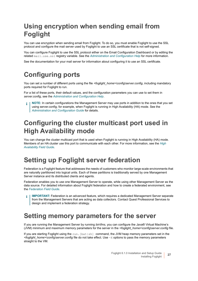# <span id="page-26-0"></span>**Using encryption when sending email from Foglight**

You can use encryption when sending email from Foglight. To do so, you must enable Foglight to use the SSL protocol and configure the mail server used by Foglight to use an SSL certificate that is not self-signed.

You can configure Foglight to use the SSL protocol either on the Email Configuration Dashboard or by editing the related mail.use.ssl registry variable. See the *[Administration and Configuration Help](http://documents.quest.com/foglight/5.9.8/administration-and-configuration-guide/)* for more information.

See the documentation for your mail server for information about configuring it to use an SSL certificate.

## <span id="page-26-1"></span>**Configuring ports**

You can set a number of different ports using the file <foglight\_home>\config\server.config, including mandatory ports required for Foglight to run.

For a list of these ports, their default values, and the configuration parameters you can use to set them in *server.config*, see the *[Administration and Configuration Help](http://documents.quest.com/foglight/5.9.8/administration-and-configuration-guide/)*.

**NOTE:** In certain configurations the Management Server may use ports in addition to the ones that you set using server.config; for example, when Foglight is running in High Availability (HA) mode. See the *[Administration and Configuration Guide](http://documents.quest.com/foglight/5.9.8/administration-and-configuration-guide/)* for details.

# <span id="page-26-5"></span><span id="page-26-2"></span>**Configuring the cluster multicast port used in High Availability mode**

You can change the cluster multicast port that is used when Foglight is running in High Availability (HA) mode. Members of an HA cluster use this port to communicate with each other. For more information, see the *[High](http://documents.quest.com/foglight/5.9.8/high-availability-field-guide/)  [Availability Field Guide](http://documents.quest.com/foglight/5.9.8/high-availability-field-guide/)*.

## <span id="page-26-3"></span>**Setting up Foglight server federation**

Federation is a Foglight feature that addresses the needs of customers who monitor large-scale environments that are naturally partitioned into logical units. Each of these partitions is traditionally served by one Management Server instance and its distributed clients and agents.

Federation enables you to use one Management Server to operate, while using other Management Server as the data source. For detailed information about Foglight federation and how to create a federated environment, see the *[Federation Field Guide](http://documents.quest.com/foglight/5.9.8/federation-field-guide/)*.

**IMPORTANT:** Federation is an advanced feature, which requires a dedicated Management Server separate f from the Management Servers that are acting as data collectors. Contact Quest Professional Services to design and implement a federation strategy.

## <span id="page-26-4"></span>**Setting memory parameters for the server**

If you are running the Management Server by running *bin\fms*, you can configure the Java® Virtual Machine's (JVM) minimum and maximum memory parameters for the server in the *<foglight\_home>\config\server.config* file.

If you are starting Foglight using the run. [bat|sh] command, the JVM heap memory parameters set in the *<foglight\_home>\config\server.config* file do not take effect. Use -X options to pass the memory parameters straight to the VM.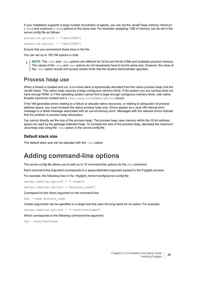If your installation supports a large number (hundreds) of agents, you can set the Java® heap memory minimum  $(-x_{\text{ms}})$  and maximum  $(-x_{\text{mx}})$  options to the same size. For example, assigning 1GB of memory can be set in the *server.config* file as follows:

server.vm.option0 = "-Xms1280M";

server.vm.option1 = "-Xmx1280M";

Ensure that you uncomment these lines in the file.

You can set up to 100 VM options in total.

**NOTE:** The -Xms and -Xmx options are different for 32-bit and 64-bit JVMs and available physical memory. ÷ The values of the  $-x_{\text{ms}}$  and  $-x_{\text{mx}}$  options do not necessarily have to be the same size. However, the value of the -Xmx option should not exceed certain limits that the System Administrator specifies.

### **Process heap use**

When a thread is created and run, a run-time stack is dynamically allocated from the native process heap (not the Java® heap). This native heap requires a large contiguous memory block. If the system you are running does not have enough RAM, or if the operating system cannot find a large enough contiguous memory block, new native threads cannot be created and a java.lang.OutOfMemoryError occurs.

If the VM generates errors relating to a failure to allocate native resources, or relating to exhaustion of process address space, you must increase the native process heap size. Errors appear as a Java VM internal error message or a detail message associated with an out-of-memory error. Messages with the relevant errors indicate that the problem is process heap exhaustion.

You cannot directly set the size of the process heap. The process heap uses memory within the 32-bit address space not used by the garbage-collected heap. To increase the size of the process heap, decrease the maximum Java heap size using the -Xmx option in the *server.config* file.

### **Default stack size**

The default stack size can be adjusted with the -Xss option.

## <span id="page-27-0"></span>**Adding command-line options**

The *server.config* file allows you to add up to 10 command-line options for the fms command.

Each command-line argument corresponds to a space-delimited argument passed to the Foglight process.

For example, the following lines in the *<foglight\_home>\config\server.config* file:

server.cmdline.option0 = "--name";

server.cmdline.option1 = "process name";

Correspond to this direct argument on the command line:

fms --name process\_name

Certain arguments can be specified in a single line that uses the long name for an option. For example:

server.cmdline.option0 = "--host=hostname";

Which corresponds to the following command-line argument:

fms --host=hostname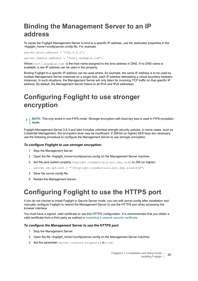# <span id="page-28-0"></span>**Binding the Management Server to an IP address**

To cause the Foglight Management Server to bind to a specific IP address, use the dedicated properties in the *<foglight\_home>\config\server.config* file. For example:

 $server.hind.address = "192.0.2.2"$ ; server.remote.address = "host1.example.com";

Where host1.example.com is the host name assigned to the bind address in DNS. If no DNS name is available, a raw IP address can be used in this property.

Binding Foglight to a specific IP address can be used where, for example, the same IP address is to be used by multiple Management Server instances on a single host, each IP address delineating a virtual boundary between instances. In such situations, the Management Server will only listen for incoming TCP traffic on that specific IP address. By default, the Management Server listens to all IPv4 and IPv6 addresses.

# <span id="page-28-1"></span>**Configuring Foglight to use stronger encryption**

**i** | NOTE: This only works in non-FIPS mode. Stronger encryption with fixed key size is used in FIPS-compliant | mode.

Foglight Management Server 5.6.3 and later includes unlimited strength security policies. In some cases, such as Credential Management, this encryption level may be insufficient. If 256-bit (or higher) AES keys are necessary, use the following procedure to configure the Management Server to use stronger encryption.

### *To configure Foglight to use stronger encryption:*

- 1 Stop the Management Server.
- 2 Open the file <foglight\_home>\config\server.config on the Management Server machine.
- 3 Set the java system property foglight.credentials.enc.key.size to 256 (or higher):

server.vm.option0 = "-Dfoglight.credentials.enc.key.size=256";

- 4 Save the *server.config* file*.*
- 5 Restart the Management Server.

## <span id="page-28-2"></span>**Configuring Foglight to use the HTTPS port**

If you do not choose to install Foglight in Secure Server mode, you can edit *server.config* after installation and manually configure Foglight to restrict the Management Server to use the HTTPS port when accessing the browser interface.

You must have a signed, valid certificate to use this HTTPS configuration. It is recommended that you obtain a valid certificate from a third party as outlined in [Importing a network security certificate](#page-29-0).

#### *To configure the Management Server to use the HTTPS port:*

- 1 Stop the Management Server.
- 2 Open the file <foglight\_home>\config\server.config on the Management Server machine.
- 3 Set the parameter server.console.httpsonly to true: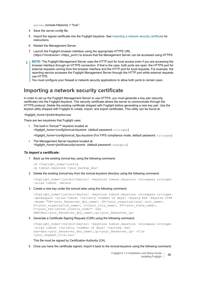```
server.console.httpsonly = "true";
```
- 4 Save the *server.config* file*.*
- 5 Import the signed certificate into the Foglight keystore. See [Importing a network security certificate](#page-29-0) for instructions.
- 6 Restart the Management Server.
- 7 Launch the Foglight browser interface using the appropriate HTTPS URL (*https://<hostname>:<https\_port>*) to ensure that the Management Server can be accessed using HTTPS.
- **NOTE:** The Foglight Management Server uses the HTTP port for local access even if you are accessing the ÷ browser interface through an HTTPS connection. If that is the case, both ports are open: the HTTPS port for external requests coming from the browser interface and the HTTP port for local requests. For example, the reporting service accesses the Foglight Management Server through the HTTP port while external requests use HTTPS.

You must configure your firewall or network security applications to allow both ports to remain open.

### <span id="page-29-0"></span>**Importing a network security certificate**

In order to set up the Foglight Management Server to use HTTPS, you must generate a key pair (security certificate) into the Foglight keystore. This security certificate allows the server to communicate through the HTTPS protocol. Delete the existing certificate shipped with Foglight before generating a new key pair. Use the keytool utility shipped with Foglight to create, import, and export certificates. This utility can be found at:

*<foglight\_home>\jre\bin\keytool.exe*

There are two keystores that Foglight uses:

**•** The built-in Tomcat™ keystore located at: *<foglight\_home>\config\tomcat.keystore* (default password: nitrogen)

*<foglight\_home>\config\tomcat\_fips.keystore* (For FIPS compliance mode, default password: nitrogen)

**•** The Management Server keystore located at: *<foglight\_home>\jre\lib\security\cacerts* (default password: changeit)

### *To import a certificate:*

1 Back up the existing *tomcat* key using the following command:

```
cd <foglight_home>\config
cp tomcat.keystore <your backup key>
```
2 Delete the existing *tomcat* key from the *tomcat.keystore* directory using the following command:

```
<foglight_home>\jre\bin\keytool -keystore tomcat.keystore -storepass nitrogen 
-alias tomcat -delete
```
3 Create a new key under the *tomcat* alias using the following command:

```
<foglight_home>\jre\bin\keytool -keystore tomcat.keystore -storepass nitrogen 
-genkeypair -alias tomcat -validity <number of days> -keyalg RSA -keysize 2048
-dname "CN=<your_fmsserver_dns_name>, OU=<your_organizational unit_name>,
O=<your organization name>, L=<your city name>, ST=<your state name>,
C=<your_two-letter_country_code>" -ext 
SAN=dns:<your_fmsserver_dns_name>,ip:<your_fmsserver_ip>
```
4 Generate a Certificate Signing Request (CSR) using the following command:

```
<foglight_home>\jre\bin\keytool -keystore tomcat.keystore -storepass nitrogen 
-alias tomcat -validity <number of days> -certreq -ext
san=dns:<your fmsserver dns name>,ip:<your fmsserver ip> -file
<your_request_file.csr>
```
This file must be signed by Certification Authority (CA).

5 Once you have the certificate signed, import it back to the *tomcat.keystore* using the following command: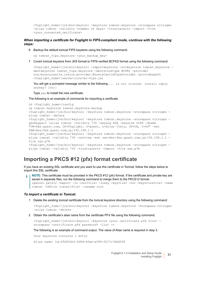```
<foglight_home>\jre\bin\keytool -keystore tomcat.keystore -storepass nitrogen 
-alias tomcat -validity <number of days> -trustcacerts -import -file
<your_converted_cerificate>
```
*When importing a certificate for Foglight in FIPS-compliant mode, continue with the following steps:*

6 Backup the default tomcat FIPS keystore using the following command:

cp tomcat fips.keystore <your backup key>

7 Covert *tomcat.keystore* from JKS format to FIPS-verified BCFKS format using the following command:

```
<foglight_home>\jre\bin\keytool -importkeystore -srckeystore tomcat.keystore -
destkeystore tomcat fips.keystore -deststoretype BCFKS -provider
org.bouncycastle.jcajce.provider.BouncyCastleFipsProvider -providerpath 
<foglight_home>\server\core\bc-fips.jar
```
You will get a prompted message similar to the following:... is not trusted. Install reply *anyway? [no]:*

Type yes to install the new certificate.

The following is an example of commands for importing a certificate.

```
cd <foglight_home>/config
cp tomcat.keystore tomcat.keystore.backup
<foglight_home>/jre/bin/keytool -keystore tomcat.keystore -storepass nitrogen -
alias tomcat -delete
<foglight_home>/jre/bin/keytool -keystore tomcat.keystore -storepass nitrogen -
genkeypair -alias tomcat -validity 730 -keyalg RSA -keysize 2048 -dname 
"CN=fms.quest.com, OU=Foglight, O=Quest, L=Aliso Viejo, ST=CA, C=US" -ext 
SAN=dns:fms.quest.com,ip:192.168.1.1
<foglight_home>/jre/bin/keytool -keystore tomcat.keystore -storepass nitrogen -
alias tomcat -validity 730 -certreq -ext san=dns:fms.quest.com,ip:192.168.1.1 -
file san.p7b
<foglight_home>/jre/bin/keytool -keystore tomcat.keystore -storepass nitrogen -
alias tomcat -validity 730 -trustcacerts -import -file san.p7b
```
### **Importing a PKCS #12 (pfx) format certificate**

If you have an existing SSL certificate and you want to use this certificate in Tomcat, follow the steps below to import this SSL certificate.

**NOTE:** This certificate must be provided in the PKCS #12 (pfx) format. If the certificate and private key are ÷ saved in separate files, run the following command to merge them to the PKCS12 format: *openssl pkcs12 -export -in <certfile> -inkey <keyfile> -out <keystorefile> -name tomcat -CAfile <cacertfile> -caname root*

#### *To import a certificate in Tomcat:*

1 Delete the existing *tomcat* certificate from the *tomcat.keystore* directory using the following command:

```
<foglight_home>\jre\bin\keytool -keystore tomcat.keystore -storepass nitrogen 
-alias tomcat -delete
```
2 Obtain the certificate's alias name from the certificate PFX file using the following command:

*<foglight\_home>\jre\bin\keytool -keystore <your certificate pfx file> storepass <certificate pfx password> -list -v*

The following is an example of command output. The value of Alias name is required in step 3.

*Your keystore contains 1 entry*

*Alias name: tq-294043e3-fd9d-42ee-a596-0217c7d6d5f8*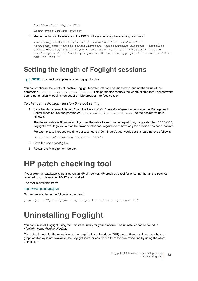*Creation date: May 8, 2020*

*Entry type: PrivateKeyEntry*

3 Merge the Tomcat keystore and the PKCS12 keystore using the following command:

```
<foglight_home>\jre\bin\keytool -importkeystore -destkeystore 
<foglight_home>\config\tomcat.keystore -deststorepass nitrogen -destalias 
tomcat -destkeypass nitrogen -srckeystore <your certificate pfx file> -
srcstorepass <certificate pfx password> -srcstoretype pkcs12 -srcalias <alias 
name in step 2>
```
## <span id="page-31-0"></span>**Setting the length of Foglight sessions**

**i** | NOTE: This section applies only to Foglight Evolve.

You can configure the length of inactive Foglight browser interface sessions by changing the value of the parameter server.console.session.timeout. This parameter controls the length of time that Foglight waits before automatically logging you out of an idle browser interface session.

#### *To change the Foglight session time-out setting:*

1 Stop the Management Server. Open the file *<foglight\_home>\config\server.config* on the Management Server machine. Set the parameter server.console.session.timeout to the desired value in minutes.

The default value is 60 minutes. If you set the value to less than or equal to  $0$ , or greater than 30000000, Foglight never logs you out of the browser interface, regardless of how long the session has been inactive.

For example, to increase the time-out to 2 hours (120 minutes), you would set this parameter as follows:

server.console.session.timeout = "120";

- 2 Save the *server.config* file*.*
- 3 Restart the Management Server.

# <span id="page-31-1"></span>**HP patch checking tool**

If your external database is installed on an HP-UX server, HP provides a tool for ensuring that all the patches required to run Java® on HP-UX are installed.

The tool is available from:

[http://www.hp.com/go/java](https://h20392.www2.hp.com/portal/swdepot/displayProductInfo.do?productNumber=HPJCONFIG)

To use the tool, issue the following command:

```
java -jar ./HPjconfig.jar -nogui -patches -listmis -javavers 6.0
```
# <span id="page-31-2"></span>**Uninstalling Foglight**

You can uninstall Foglight using the uninstaller utility for your platform. The uninstaller can be found in *<foglight\_home>\UninstallerData*.

The default mode for the uninstaller is the graphical user interface (GUI) mode. However, in cases where a graphics display is not available, the Foglight installer can be run from the command line by using the silent uninstaller.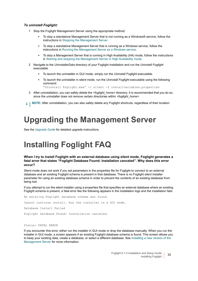### *To uninstall Foglight:*

- 1 Stop the Foglight Management Server using the appropriate method:
	- **▪** To stop a standalone Management Server that is not running as a Windows® service, follow the instructions in [Stopping the Management Server](#page-39-4).
	- **▪** To stop a standalone Management Server that is running as a Windows service, follow the instructions in [Running the Management Server as a Windows service.](#page-38-1)
	- **▪** To stop a Management Server that is running in High Availability (HA) mode, follow the instructions in [Starting and stopping the Management Server in High Availability mode.](#page-39-5)
- 2 Navigate to the *UninstallerData* directory of your Foglight installation and run the *Uninstall Foglight* executable.
	- **▪** To launch the uninstaller in GUI mode, simply run the *Uninstall Foglight* executable.
	- **▪** To launch the uninstaller in silent mode, run the *Uninstall Foglight* executable using the following command:
		- "Uninstall Foglight.exe" -i silent -f installvariables.properties
- 3 After uninstallation, you can safely delete the *<foglight\_home>* directory. It is recommended that you do so, since the uninstaller does not remove certain directories within *<foglight\_home>*.

**i** | NOTE: After uninstallation, you can also safely delete any Foglight shortcuts, regardless of their location.

# <span id="page-32-0"></span>**Upgrading the Management Server**

<span id="page-32-2"></span>See the *[Upgrade Guide](http://documents.quest.com/foglight/5.9.8/upgrade-guide/)* for detailed upgrade instructions.

# <span id="page-32-1"></span>**Installing Foglight FAQ**

### **When I try to install Foglight with an external database using silent mode, Foglight generates a fatal error that states "Foglight Database Found: Installation canceled". Why does this error occur?**

Silent mode does not work if you set parameters in the properties file for Foglight to connect to an external database and an existing Foglight schema is present in that database. There is no Foglight silent installer parameter for using an existing database schema in order to prevent the contents of an existing database from being lost.

If you attempt to run the silent installer using a properties file that specifies an external database where an existing Foglight schema is present, a fatal error like the following appears in the installation logs and the installation fails:

An existing Foglight database schema was found. Cannot continue install. Run the installer in a GUI mode. Database Install Failed Foglight Database Found: Installation canceled.

#### Status: FATAL ERROR

If you encounter this error, either run the installer in GUI mode or drop the database manually. When you run the installer in GUI mode, a screen appears if an existing Foglight database schema is found. This screen allows you to keep your existing data, create a database, or select a different database. See Installing a new version of the [Management Server](#page-15-0) for more information.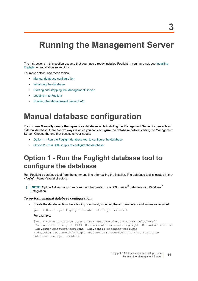# <span id="page-34-0"></span>**Running the Management Server**

The instructions in this section assume that you have already installed Foglight. If you have not, see [Installing](#page-14-2)  [Foglight](#page-14-2) for installation instructions.

For more details, see these topics:

- **•** [Manual database configuration](#page-34-1)
- **•** [Initializing the database](#page-37-0)
- **•** [Starting and stopping the Management Server](#page-37-1)
- **•** [Logging in to Foglight](#page-39-2)
- **•** [Running the Management Server FAQ](#page-40-2)

# <span id="page-34-3"></span><span id="page-34-1"></span>**Manual database configuration**

If you chose **Manually create the repository database** while installing the Management Server for use with an external database, there are two ways in which you can **configure the database before** starting the Management Server. Choose the one that best suits your needs:

- **•** [Option 1 Run the Foglight database tool to configure the database](#page-34-2)
- **•** [Option 2 Run SQL scripts to configure the database](#page-35-0)

## <span id="page-34-2"></span>**Option 1 - Run the Foglight database tool to configure the database**

Run Foglight's database tool from the command line after exiting the installer. The database tool is located in the *<foglight\_home>\client\* directory.

**NOTE:** Option 1 does not currently support the creation of a SQL Server® database with Windows® i. integration.

### *To perform manual database configuration:*

**•** Create the database. Run the following command, including the -D parameters and values as required:

java [-D...] -jar foglight-database-tool.jar createdb

For example:

```
java -Dserver.database.type=sqlsvr -Dserver.database.host=sqldbhost01 
-Dserver.database.port=1433 -Dserver.database.name=foglight -Ddb.admin.user=sa 
-Ddb.admin.password=foglight -Ddb.schema.username=foglight 
-Ddb.schema.password=foglight -Ddb.schema.name=foglight -jar foglight-
database-tool.jar createdb
```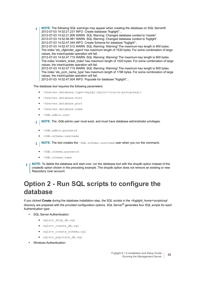**NOTE:** The following SQL warnings may appear when creating the database on SQL Server®: ÷. 2012-07-03 14:52:21.231 INFO Create database "foglight"... 2012-07-03 14:52:21.809 WARN SQL Warning: Changed database context to 'master'. 2012-07-03 14:52:46.981 WARN SQL Warning: Changed database context to 'foglight'. 2012-07-03 14:52:47.044 INFO Create Schema for database "foglight"... 2012-07-03 14:52:47.512 WARN SQL Warning: Warning! The maximum key length is 900 bytes. The index 'idx\_cfgbinder\_agent' has maximum length of 1530 bytes. For some combination of large values, the insert/update operation will fail. 2012-07-03 14:52:47.715 WARN SQL Warning: Warning! The maximum key length is 900 bytes. The index 'incident ticket index' has maximum length of 1020 bytes. For some combination of large values, the insert/update operation will fail. 2012-07-03 14:52:47.715 WARN SQL Warning: Warning! The maximum key length is 900 bytes. The index 'idx\_pcm\_name\_type' has maximum length of 1786 bytes. For some combination of large values, the insert/update operation will fail. 2012-07-03 14:52:47.934 INFO Populate for database "foglight"...

The database tool requires the following parameters:

- **▪** -Dserver.database.type=<mysql|sqlsrv|oracle|postgresql>
- **▪** -Dserver.database.host
- **▪** -Dserver.database.port
- **▪** -Dserver.database.name
- **▪** -Ddb.admin.user
- **i** | NOTE: The -Ddb.admin.user must exist, and must have database administrator privileges.
	- **▪** -Ddb.admin.password
	- **▪** -Ddb.schema.username
- **NOTE:** The tool creates the -Ddb.schema.username user when you run the command. i l
	- **▪** -Ddb.schema.password
	- **▪** -Ddb.schema.name
- **NOTE:** To delete the database and start over, run the database tool with the dropdb option instead of the createdb option shown in the preceding example. The dropdb option does not remove an existing or new Repository User account.

# <span id="page-35-0"></span>**Option 2 - Run SQL scripts to configure the database**

If you clicked **Create** during the database installation step, the SQL scripts in the *<foglight\_home>\scripts\sql* directory are prepared with the provided configuration options. SQL Server<sup>®</sup> generates four SQL scripts for each Authentication type:

- **•** SQL Server Authentication:
	- **▪** sqlsvr\_drop\_db.sql
	- **▪** sqlsvr\_create\_db.sql
	- **▪** sqlsvr\_create\_schema.sql
	- **▪** sqlsvr\_populate\_db.sql
- **•** Windows Authentication: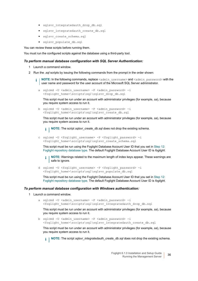- sqlsvr\_integratedauth\_drop\_db.sql
- **▪** sqlsvr\_integratedauth\_create\_db.sql
- **▪** sqlsvr\_create\_schema.sql
- **▪** sqlsvr\_populate\_db.sql

You can review these scripts before running them.

You must run the configured scripts against the database using a third-party tool.

### *To perform manual database configuration with SQL Server Authentication:*

- 1 Launch a command window.
- 2 Run the *.sql* scripts by issuing the following commands from the prompt in the order shown:
	- **i** | NOTE: In the following commands, replace <admin\_username> and <admin\_password> with the user name and password for the user account of the Microsoft SQL Server administrator.
		- a sqlcmd -U <admin username> -P <admin\_password> -i <foglight\_home>\scripts\sql\sqlsvr\_drop\_db.sql

This script must be run under an account with administrator privileges (for example, *sa*), because you require system access to run it.

b sqlcmd -U <admin username> -P <admin password> -i -<br><foglight home>\scripts\sql\sqlsvr create db.sql

This script must be run under an account with administrator privileges (for example, *sa*), because you require system access to run it.

**i** | NOTE: The script *sqlsvr\_create\_db.sql* does not drop the existing schema.

c sqlcmd -U <foglight\_username> -P <foglight\_password> -i <foglight\_home>\scripts\sql\sqlsvr\_create\_schema.sql

This script must be run using the Foglight Database Account User ID that you set in [Step 12:](#page-17-0)  [Foglight repository database type](#page-17-0). The default Foglight Database Account User ID is *foglight*.

- **NOTE:** Warnings related to the maximum length of index keys appear. These warnings are f. safe to ignore.
- d sqlcmd -U <foglight\_username> -P <foglight\_password> -i <foglight\_home>\scripts\sql\sqlsvr\_populate\_db.sql

This script must be run using the Foglight Database Account User ID that you set in [Step 12:](#page-17-0)  [Foglight repository database type](#page-17-0). The default Foglight Database Account User ID is *foglight*.

### *To perform manual database configuration with Windows authentication:*

- 1 Launch a command window.
	- a sqlcmd -U <admin username> -P <admin password> -i --<br>
	<foglight home>\scripts\sql\sqlsvr integratedauth drop db.sql

This script must be run under an account with administrator privileges (for example, *sa*), because you require system access to run it.

b sqlcmd -U <admin username> -P <admin password> -i <foglight home>\scripts\sql\sqlsvr integratedauth create db.sql

This script must be run under an account with administrator privileges (for example, *sa*), because you require system access to run it.

**NOTE:** The script *sqlsvr\_integratedauth\_create\_db.sql* does not drop the existing schema.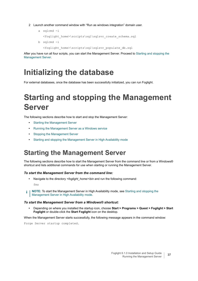2 Launch another command window with "Run as windows integration" domain user.

```
a sqlcmd -i
  <foglight_home>\scripts\sql\sqlsvr_create_schema.sql
```
b sqlcmd -i

<foglight\_home>\scripts\sql\sqlsvr\_populate\_db.sql

After you have run all four scripts, you can start the Management Server. Proceed to [Starting and stopping the](#page-37-1)  [Management Server](#page-37-1).

# <span id="page-37-0"></span>**Initializing the database**

For external databases, once the database has been successfully initialized, you can run Foglight.

# <span id="page-37-3"></span><span id="page-37-1"></span>**Starting and stopping the Management Server**

The following sections describe how to start and stop the Management Server:

- **•** [Starting the Management Server](#page-37-2)
- **•** [Running the Management Server as a Windows service](#page-38-0)
- **•** [Stopping the Management Server](#page-39-0)
- **•** [Starting and stopping the Management Server in High Availability mode](#page-39-1)

# <span id="page-37-2"></span>**Starting the Management Server**

The following sections describe how to start the Management Server from the command line or from a Windows® shortcut and lists additional commands for use when starting or running the Management Server.

### *To start the Management Server from the command line:*

**•** Navigate to the directory *<foglight\_home>\bin* and run the following command:

fms

**NOTE:** To start the Management Server in High Availability mode, see [Starting and stopping the](#page-39-1)  i. [Management Server in High Availability mode](#page-39-1).

### *To start the Management Server from a Windows® shortcut:*

**•** Depending on where you installed the startup icon, choose **Start > Programs > Quest > Foglight > Start Foglight** or double-click the **Start Foglight** icon on the desktop.

When the Management Server starts successfully, the following message appears in the command window:

Forge Server startup completed.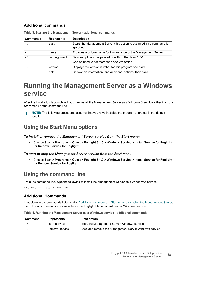### <span id="page-38-2"></span>**Additional commands**

| <b>Commands</b> | <b>Represents</b> | <b>Description</b>                                                                                   |
|-----------------|-------------------|------------------------------------------------------------------------------------------------------|
| $-S$            | start             | Starts the Management Server (this option is assumed if no command is<br>specified).                 |
| $-n$            | name              | Provides a unique name for this instance of the Management Server.                                   |
| $-\dot{1}$      | jvm-argument      | Sets an option to be passed directly to the Java® VM.<br>Can be used to set more than one VM option. |
| $-\nabla$       | version           | Displays the version number for this program and exits.                                              |
| $-h$            | help              | Shows this information, and additional options, then exits.                                          |

**Table 3. Starting the Management Server - additional commands**

## <span id="page-38-1"></span><span id="page-38-0"></span>**Running the Management Server as a Windows service**

After the installation is completed, you can install the Management Server as a Windows® service either from the **Start** menu or the command line.

**NOTE:** The following procedures assume that you have installed the program shortcuts in the default f. location.

## **Using the Start Menu options**

*To install or remove the Management Server service from the Start menu:*

**•** Choose **Start > Programs > Quest > Foglight 6.1.0 > Windows Service > Install Service for Foglight**  (or **Remove Service for Foglight**).

*To start or stop the Management Server service from the Start menu:*

**•** Choose **Start > Programs > Quest > Foglight 6.1.0 > Windows Service > Install Service for Foglight**  (or **Remove Service for Foglight**).

## **Using the command line**

From the command line, type the following to install the Management Server as a Windows® service:

fms.exe --install-service

### **Additional Commands**

In addition to the commands listed under [Additional commands](#page-38-2) in [Starting and stopping the Management Server](#page-37-1), the following commands are available for the Foglight Management Server Windows service.

**Table 4. Running the Management Server as a Windows service - additional commands**

| Command | <b>Represents</b> | Description                                           |
|---------|-------------------|-------------------------------------------------------|
| $-h$    | start-service     | Start the Management Server Windows service           |
| $-r$    | remove-service    | Stop and remove the Management Server Windows service |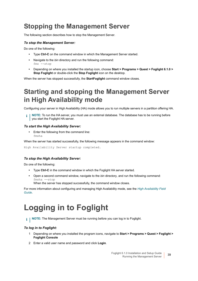## <span id="page-39-4"></span><span id="page-39-0"></span>**Stopping the Management Server**

The following section describes how to stop the Management Server.

### *To stop the Management Server:*

Do one of the following:

- **•** Type **Ctrl-C** on the command window in which the Management Server started.
- **•** Navigate to the *bin* directory and run the following command: fms --stop
- **•** Depending on where you installed the startup icon, choose **Start > Programs > Quest > Foglight 6.1.0 > Stop Foglight** or double-click the **Stop Foglight** icon on the desktop.

When the server has stopped successfully, the **StartFoglight** command window closes.

## <span id="page-39-5"></span><span id="page-39-1"></span>**Starting and stopping the Management Server in High Availability mode**

Configuring your server in High Availability (HA) mode allows you to run multiple servers in a partition offering HA.

**i** | NOTE: To run the HA server, you must use an external database. The database has to be running before you start the Foglight HA server.

### *To start the High Availability Server:*

**•** Enter the following from the command line: fmsha

When the server has started successfully, the following message appears in the command window:

High Availability Server startup completed.

### *To stop the High Availability Server:*

Do one of the following:

- **•** Type **Ctrl-C** in the command window in which the Foglight HA server started.
- **•** Open a second command window, navigate to the *bin* directory*,* and run the following command: fmsha --stop

When the server has stopped successfully, the command window closes.

For more information about configuring and managing High Availability mode, see the *[High Availability Field](http://documents.quest.com/foglight/5.9.8/high-availability-field-guide/)  [Guide](http://documents.quest.com/foglight/5.9.8/high-availability-field-guide/)*.

# <span id="page-39-3"></span><span id="page-39-2"></span>**Logging in to Foglight**

**i** | NOTE: The Management Server must be running before you can log in to Foglight.

### *To log in to Foglight:*

- 1 Depending on where you installed the program icons, navigate to **Start > Programs > Quest > Foglight > Foglight Console**
- 2 Enter a valid user name and password and click **Login**.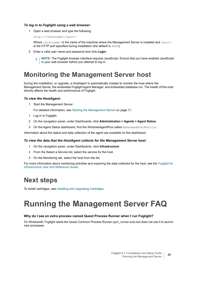### *To log in to Foglight using a web browser:*

1 Open a web browser and type the following:

http://<hostname>:<port>

Where  $\langle$ hostname $\rangle$  is the name of the machine where the Management Server is installed and  $\langle$ port $\rangle$ is the HTTP port specified during installation (the default is 8080).

- 2 Enter a valid user name and password and click **Login**.
	- **i** | NOTE: The Foglight browser interface requires JavaScript. Ensure that you have enabled JavaScript in your web browser before you attempt to log in.

## <span id="page-40-0"></span>**Monitoring the Management Server host**

During the installation, or upgrade, a HostAgent is automatically created to monitor the host where the Management Server, the embedded Foglight Agent Manager, and embedded database run. The health of this host directly affects the health and performance of Foglight.

#### *To view the HostAgent:*

1 Start the Management Server.

For detailed information, see [Starting the Management Server on page 37](#page-37-2).

- 1 Log in to Foglight.
- 2 On the navigation panel, under Dashboards, click **Administration > Agents > Agent Status**.
- 3 On the Agent Status dashboard, find the WindowsAgentPlus called EmbeddedHostMonitor.

Information about the status and data collection of the agent are available on this dashboard.

### *To view the data that the HostAgent collects for the Management Server host:*

- 1 On the navigation panel, under Dashboards, click **Infrastructure**.
- 2 From the Select a Service list, select the service for the host.
- 3 On the Monitoring tab, select the host from the list.

For more information about monitoring activities and exploring the data collected for the host, see the *[Foglight for](http://documents.quest.com/foglight-for-infrastructure/5.9.8/user-and-reference-guide/?article=DOC454948&ParentProduct=856)  [Infrastructure User and Reference Guide](http://documents.quest.com/foglight-for-infrastructure/5.9.8/user-and-reference-guide/?article=DOC454948&ParentProduct=856)*.

## <span id="page-40-1"></span>**Next steps**

<span id="page-40-3"></span>To install cartridges, see [Installing and Upgrading Cartridges.](#page-42-1)

# <span id="page-40-2"></span>**Running the Management Server FAQ**

### **Why do I see an extra process named Quest Process Runner when I run Foglight?**

On Windows®, Foglight starts the Quest Common Process Runner (*qcn\_runner.exe*) but does not use it to launch new processes.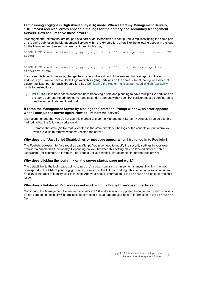### **I am running Foglight in High Availability (HA) mode. When I start my Management Servers, "UDP mcast receiver" errors appear in the logs for the primary and secondary Management Servers. How can I resolve these errors?**

If Management Servers that are not part of a particular HA partition are configured to multicast using the same port on the same subnet as the Management Servers within the HA partition, errors like the following appear in the logs for the Management Servers that are configured in this way:

```
ERROR [UDP mcast receiver] org.jgroups.protocols.UDP - message does not have a UDP 
header
```
or

```
ERROR [UDP mcast receiver] org.jgroups.protocols.UDP - discarded message from 
different group
```
If you see this type of message, change the cluster multi-cast port of the servers that are reporting the error. In addition, if you plan to have multiple High Availability (HA) partitions on the same sub-net, configure a different cluster multicast port for each HA partition. See [Configuring the cluster multicast port used in High Availability](#page-26-5)  [mode](#page-26-5) for instructions.

**IMPORTANT:** In both cases described here (resolving errors and planning to have multiple HA partitions on ÷ the same subnet), the primary server and secondary servers within each HA partition must be configured to use the same cluster multicast port.

### **If I stop the Management Server by closing the Command Prompt window, an error appears when I start up the server again. How do I restart the server?**

It is recommended that you do not use this method to stop the Management Server. However, if you do use this method, follow the following workaround.

**•** Remove the stale *.pid* file that is located in the *state* directory. The logs or the console output inform you which *.pid* file to remove when you restart the server.

### **Why does the "JavaScript Disabled" error message appear when I try to log in to Foglight?**

The Foglight browser interface requires JavaScript. You may need to modify the security settings in your web browser to enable this functionality. Depending on your browser, this setting may be labeled either "Enable JavaScript" (for example, in Firefox®), or "Enable Active Scripting" (for example, in Internet Explorer®).

### <span id="page-41-0"></span>**Why does clicking the login link on the server startup page not work?**

The default link to the login page points to http://localhost:8080. In some instances, this link may not correspond to the URL of your Foglight server, resulting in the link not working. This issue can also occur when Foglight is not able to identify your local host. Add your host/IP information to the etc/hosts files to correct this issue.

### **Why does a link-local IPv6 address not work with the Foglight web user interface?**

Configuring the Management Server with a link-local IPv6 address is not supported because many web browsers do not support link-local IPv6 addresses. To correct this issue, update your host/IP information in the etc/hosts file.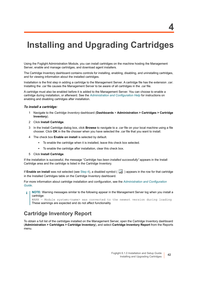# <span id="page-42-1"></span><span id="page-42-0"></span>**Installing and Upgrading Cartridges**

Using the Foglight Administration Module, you can install cartridges on the machine hosting the Management Server, enable and manage cartridges, and download agent installers.

The Cartridge Inventory dashboard contains controls for installing, enabling, disabling, and uninstalling cartridges, and for viewing information about the installed cartridges.

Installation is the first step in adding a cartridge to the Management Server. A cartridge file has the extension *.car*. Installing the *.car* file causes the Management Server to be aware of all cartridges in the *.car* file.

A cartridge must also be enabled before it is added to the Management Server. You can choose to enable a cartridge during installation, or afterward. See the *[Administration and Configuration Help](http://documents.quest.com/foglight/5.9.8/administration-and-configuration-guide/)* for instructions on enabling and disabling cartridges after installation.

#### *To install a cartridge:*

- 1 Navigate to the *Cartridge Inventory* dashboard (**Dashboards** > **Administration > Cartridges > Cartridge Inventory**).
- 2 Click **Install Cartridge**.
- 3 In the Install Cartridge dialog box, click **Browse** to navigate to a *.car* file on your local machine using a file chooser. Click **OK** in the file chooser when you have selected the *.car* file that you want to install.
- <span id="page-42-2"></span>4 The check box **Enable on install** is selected by default.
	- **▪** To enable the cartridge when it is installed, leave this check box selected.
	- **▪** To enable the cartridge after installation, clear this check box.
- 5 Click **Install Cartridge**.

If the installation is successful, the message "*Cartridge has been installed successfully"* appears in the Install Cartridge area and the cartridge is listed in the Cartridge Inventory.

If **Enable on install** was not selected (see [Step 4](#page-42-2)), a disabled symbol (  $\rightarrow$  ) appears in the row for that cartridge in the Installed Cartridges table on the Cartridge Inventory dashboard.

For more information about cartridge installation and configuration, see the *[Administration and Configuration](http://documents.quest.com/foglight/5.9.8/administration-and-configuration-guide/)  [Guide](http://documents.quest.com/foglight/5.9.8/administration-and-configuration-guide/)*.

**NOTE:** Warning messages similar to the following appear in the Management Server log when you install a f cartridge:

WARN - Module system:<name> was converted to the newest version during loading These warnings are expected and do not affect functionality.

## **Cartridge Inventory Report**

To obtain a full list of the cartridges installed on the Management Server, open the Cartridge Inventory dashboard (**Administration > Cartridges > Cartridge Inventory**), and select **Cartridge Inventory Report** from the Reports menu.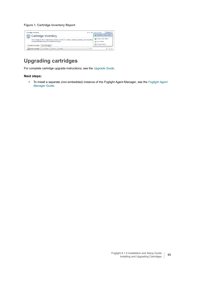### **Figure 1. Cartridge Inventory Report**

| <b>Cartridge Inventory</b>                                                                                | Jan 6, 2012 3:54:31 PM EST<br>$\boxed{1}$ Reports $\boxed{\triangle}$ |
|-----------------------------------------------------------------------------------------------------------|-----------------------------------------------------------------------|
| ' Cartridge Inventory                                                                                     | Cartridge Inventory Report                                            |
| The Cartridge Inventory dashboard contains controls for installing, enabling, disabling, and uninstalling | Create a New Report                                                   |
| viewing information about the installed cartridges.                                                       | Run a Report                                                          |
| <b>Installed Cartridges</b><br><b>Core Cartridges</b>                                                     | Manage Reports                                                        |
| Install Cartridge   JUninstall BEnable Disable<br>Search                                                  | 违                                                                     |

## **Upgrading cartridges**

For complete cartridge upgrade instructions, see the *[Upgrade Guide](http://documents.quest.com/foglight/5.9.8/upgrade-guide/)*.

### **Next steps:**

**•** To install a separate (non-embedded) instance of the Foglight Agent Manager, see the *[Foglight Agent](https://support.quest.com/technical-documents/foglight-agent-manager/5.9.8/foglight-agent-manager-guide)  [Manager Guide](https://support.quest.com/technical-documents/foglight-agent-manager/5.9.8/foglight-agent-manager-guide)*.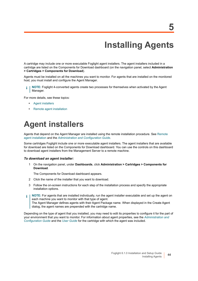# **Installing Agents**

<span id="page-44-0"></span>A cartridge may include one or more executable Foglight agent installers. The agent installers included in a cartridge are listed on the Components for Download dashboard (on the navigation panel, select **Administration > Cartridges > Components for Download**).

Agents must be installed on all the machines you want to monitor. For agents that are installed on the monitored host, you must install and configure the Agent Manager.

**NOTE:** Foglight 4-converted agents create two processes for themselves when activated by the Agent Manager.

For more details, see these topics:

- **•** [Agent installers](#page-44-1)
- **•** [Remote agent installation](#page-45-0)

# <span id="page-44-1"></span>**Agent installers**

Agents that depend on the Agent Manager are installed using the remote installation procedure. See [Remote](#page-45-0)  [agent installation](#page-45-0) and the *[Administration and Configuration Guide](http://documents.quest.com/foglight/5.9.8/administration-and-configuration-guide/)*.

Some cartridges Foglight include one or more executable agent installers. The agent installers that are available for download are listed on the Components for Download dashboard. You can use the controls on this dashboard to download agent installers from the Management Server to a remote machine.

#### *To download an agent installer:*

1 On the navigation panel, under **Dashboards**, click **Administration > Cartridges > Components for Download**.

The Components for Download dashboard appears.

- 2 Click the name of the installer that you want to download.
- 3 Follow the on-screen instructions for each step of the installation process and specify the appropriate installation options.
- **NOTE:** For agents that are installed individually, run the agent installer executable and set up the agent on ÷. each machine you want to monitor with that type of agent. The Agent Manager defines agents with their Agent Package name. When displayed in the Create Agent dialog, the agent names are prepended with the cartridge name.

Depending on the type of agent that you installed, you may need to edit its properties to configure it for the part of your environment that you want to monitor. For information about agent properties, see the *[Administration and](http://documents.quest.com/foglight/5.9.8/administration-and-configuration-guide/)  [Configuration Guide](http://documents.quest.com/foglight/5.9.8/administration-and-configuration-guide/)* and the *[User Guide](http://documents.quest.com/foglight/5.9.8/user-guide/)* for the cartridge with which the agent was included.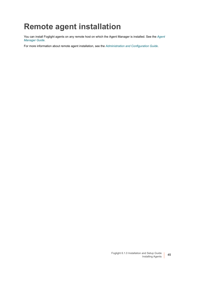# <span id="page-45-0"></span>**Remote agent installation**

You can install Foglight agents on any remote host on which the Agent Manager is installed. See the *[Agent](https://support.quest.com/technical-documents/foglight-agent-manager/5.9.8/foglight-agent-manager-guide)  [Manager Guide](https://support.quest.com/technical-documents/foglight-agent-manager/5.9.8/foglight-agent-manager-guide)*.

For more information about remote agent installation, see the *[Administration and Configuration Guide](http://documents.quest.com/foglight/5.9.8/administration-and-configuration-guide/)*.